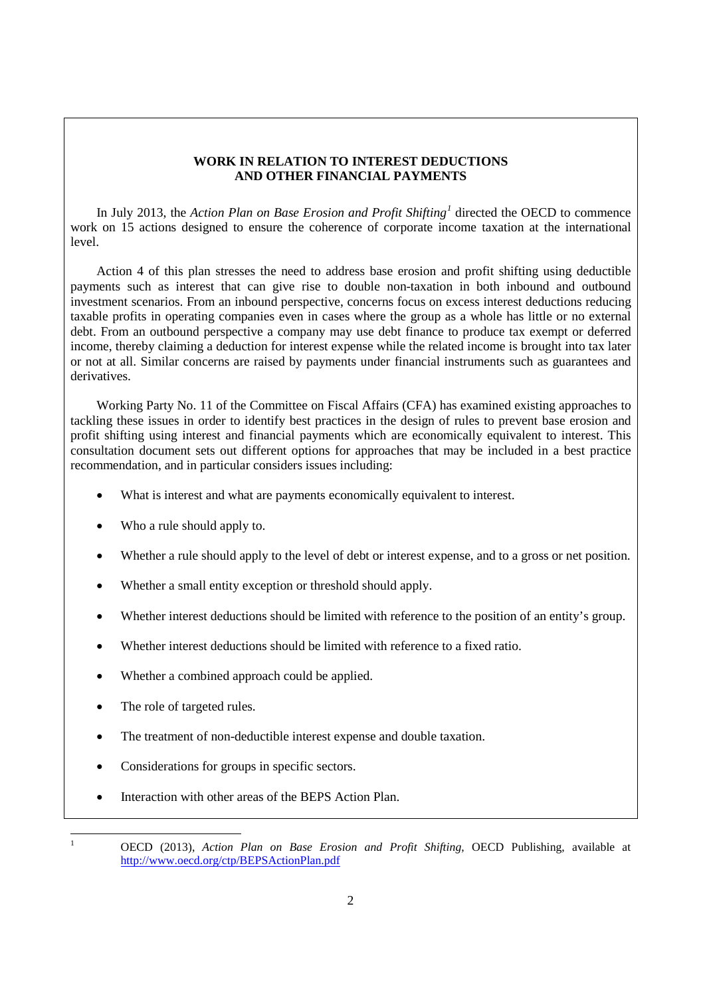# **WORK IN RELATION TO INTEREST DEDUCTIONS AND OTHER FINANCIAL PAYMENTS**

In July 2013, the *Action Plan on Base Erosion and Profit Shifting[1](#page-1-0)* directed the OECD to commence work on 15 actions designed to ensure the coherence of corporate income taxation at the international level.

Action 4 of this plan stresses the need to address base erosion and profit shifting using deductible payments such as interest that can give rise to double non-taxation in both inbound and outbound investment scenarios. From an inbound perspective, concerns focus on excess interest deductions reducing taxable profits in operating companies even in cases where the group as a whole has little or no external debt. From an outbound perspective a company may use debt finance to produce tax exempt or deferred income, thereby claiming a deduction for interest expense while the related income is brought into tax later or not at all. Similar concerns are raised by payments under financial instruments such as guarantees and derivatives.

Working Party No. 11 of the Committee on Fiscal Affairs (CFA) has examined existing approaches to tackling these issues in order to identify best practices in the design of rules to prevent base erosion and profit shifting using interest and financial payments which are economically equivalent to interest. This consultation document sets out different options for approaches that may be included in a best practice recommendation, and in particular considers issues including:

- What is interest and what are payments economically equivalent to interest.
- Who a rule should apply to.
- Whether a rule should apply to the level of debt or interest expense, and to a gross or net position.
- Whether a small entity exception or threshold should apply.
- Whether interest deductions should be limited with reference to the position of an entity's group.
- Whether interest deductions should be limited with reference to a fixed ratio.
- Whether a combined approach could be applied.
- The role of targeted rules.
- The treatment of non-deductible interest expense and double taxation.
- Considerations for groups in specific sectors.
- Interaction with other areas of the BEPS Action Plan.

<span id="page-1-0"></span> $\frac{1}{1}$ 

OECD (2013), *Action Plan on Base Erosion and Profit Shifting*, OECD Publishing, available at <http://www.oecd.org/ctp/BEPSActionPlan.pdf>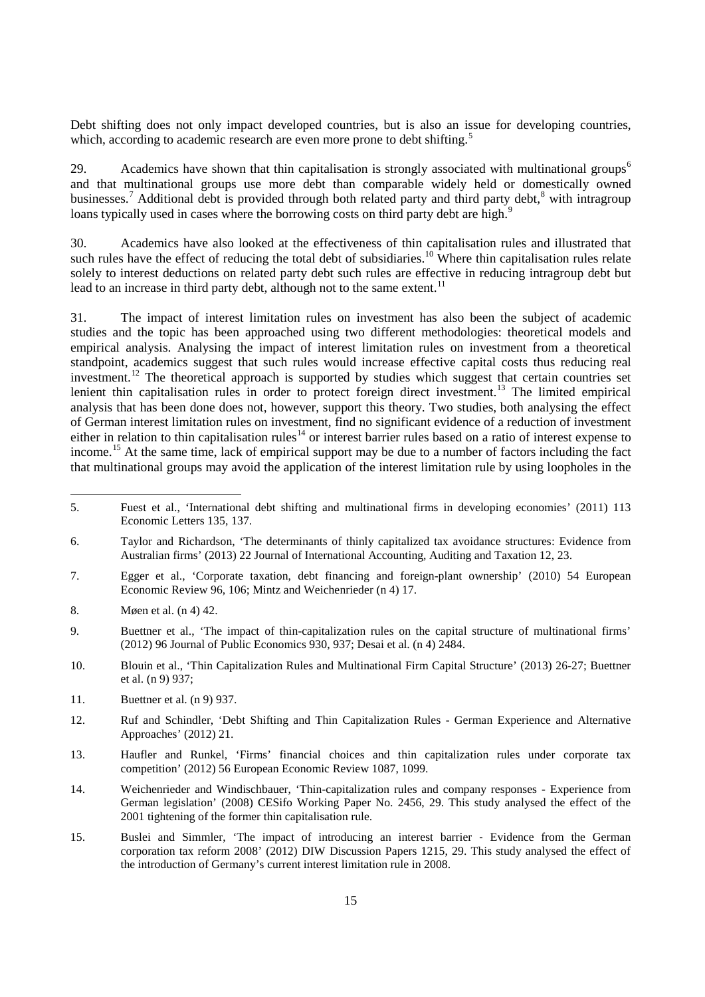In July 2013, the Action Plan on Base Erosion and Profit Shiftindirected the OECD to commence work on 15 actions designed to ensure the coherence of corporate income taxation at the international level

Action 4 of this plan stresses the need to address base erosion and profit shifting using deductible payments such as interest that can give rise to double non-taxation in both inbound and outbound investment scenarios. From an inbound perspective, concerns focus on excess interest deductions reducing taxable profits in operating companies even in cases where the group as a whole has little or no external debt. From an outbound perspective a company may use debt finance to produce tax exempt or deferred income, thereby claiming a deduction for interest expense while the related income is brought into tax later or not at all. Similar concerns are raised by payments under financial instruments such as guarantees and derivatives

Working Party No. 11 of the Committee on Fiscal Affairs (CFA) has examined existing approaches to tackling these issues in order to identify best practices in the design of rules to prevent base erosion and profit shifting using interest and financial payments which are economically equivalent to interest. This consultation document sets out different options for approaches that may be included in a best practice recommendation, and in particular considers issues including:

- x What is interest and what are payments economically equivalent to interest.
- x Who a rule should apply to.
- x Whether a rule should apply to the level of debt or interest expense, and to a gross or net position.
- Whether a small entity exception or threshold should apply.  $\mathbf{x}$
- Whether interest deductions should be limited with reference to the position of an entity's group.  $\mathbf{x}$
- Whether interest deductions should be limited with reference to a fixed ratio.  $\mathsf{x}$
- x Whether a combined approach could be applied.
- x The role of targeted rules.

 $\overline{1}$ 

- x The treatment of non-deductible interest expense and double taxation.
- Considerations for groups in specific sectors.  $\mathbf{x}$
- Interaction with other areas of the BEPS Action Plan.  $\mathbf{x}$

OECD (2013), Action Plan on Base Erosion and Profit Shifting, OECD Publishing, available at http://www.oecd.org/ctp/BEPSActionPlan.pdf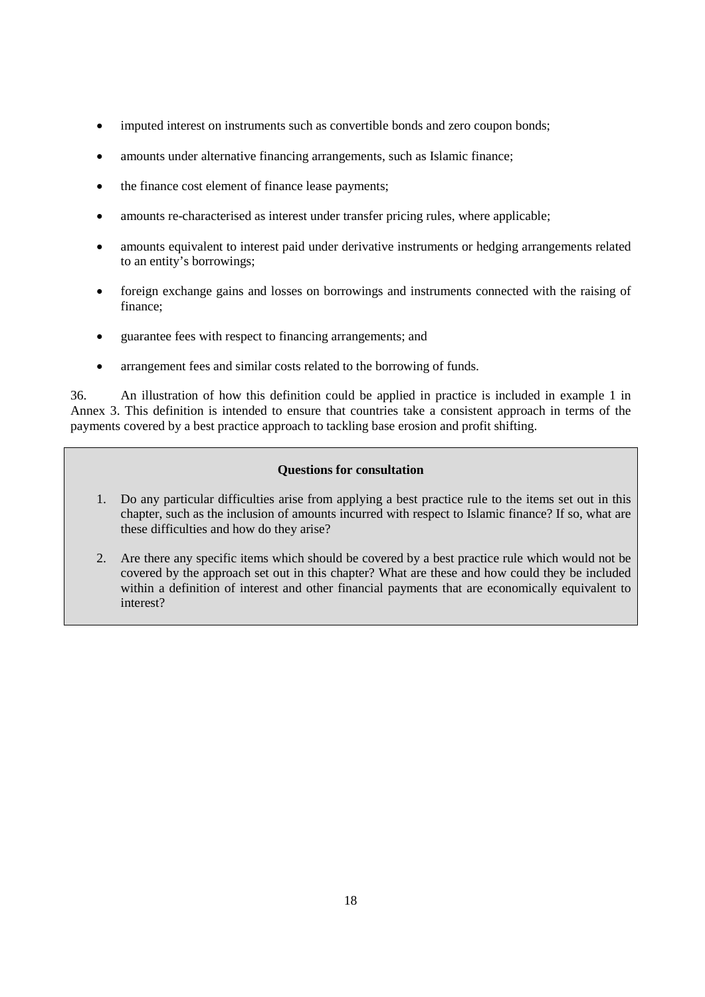- imputed interest on instruments such as convertible bonds and zero coupon bonds;
- amounts under alternative financing arrangements, such as Islamic finance;
- the finance cost element of finance lease payments;
- amounts re-characterised as interest under transfer pricing rules, where applicable;
- amounts equivalent to interest paid under derivative instruments or hedging arrangements related to an entity's borrowings;
- foreign exchange gains and losses on borrowings and instruments connected with the raising of finance;
- guarantee fees with respect to financing arrangements; and
- arrangement fees and similar costs related to the borrowing of funds.

36. An illustration of how this definition could be applied in practice is included in example 1 in Annex 3. This definition is intended to ensure that countries take a consistent approach in terms of the payments covered by a best practice approach to tackling base erosion and profit shifting.

# **Questions for consultation**

- 1. Do any particular difficulties arise from applying a best practice rule to the items set out in this chapter, such as the inclusion of amounts incurred with respect to Islamic finance? If so, what are these difficulties and how do they arise?
- 2. Are there any specific items which should be covered by a best practice rule which would not be covered by the approach set out in this chapter? What are these and how could they be included within a definition of interest and other financial payments that are economically equivalent to interest?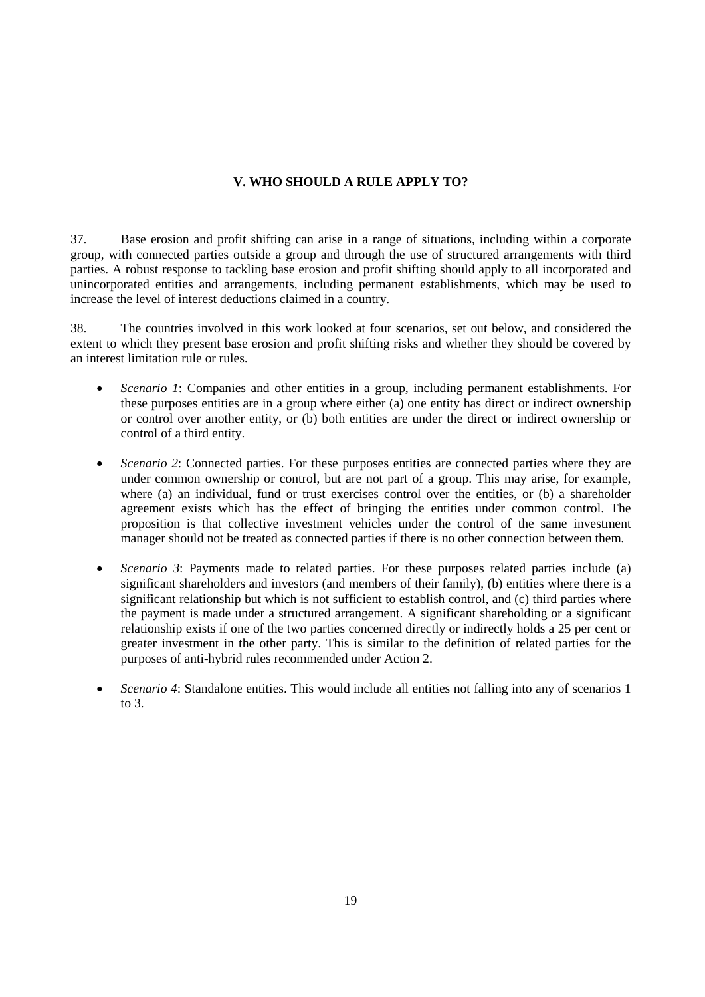# **V. WHO SHOULD A RULE APPLY TO?**

37. Base erosion and profit shifting can arise in a range of situations, including within a corporate group, with connected parties outside a group and through the use of structured arrangements with third parties. A robust response to tackling base erosion and profit shifting should apply to all incorporated and unincorporated entities and arrangements, including permanent establishments, which may be used to increase the level of interest deductions claimed in a country.

38. The countries involved in this work looked at four scenarios, set out below, and considered the extent to which they present base erosion and profit shifting risks and whether they should be covered by an interest limitation rule or rules.

- *Scenario 1*: Companies and other entities in a group, including permanent establishments. For these purposes entities are in a group where either (a) one entity has direct or indirect ownership or control over another entity, or (b) both entities are under the direct or indirect ownership or control of a third entity.
- *Scenario 2*: Connected parties. For these purposes entities are connected parties where they are under common ownership or control, but are not part of a group. This may arise, for example, where (a) an individual, fund or trust exercises control over the entities, or (b) a shareholder agreement exists which has the effect of bringing the entities under common control. The proposition is that collective investment vehicles under the control of the same investment manager should not be treated as connected parties if there is no other connection between them.
- *Scenario 3*: Payments made to related parties. For these purposes related parties include (a) significant shareholders and investors (and members of their family), (b) entities where there is a significant relationship but which is not sufficient to establish control, and (c) third parties where the payment is made under a structured arrangement. A significant shareholding or a significant relationship exists if one of the two parties concerned directly or indirectly holds a 25 per cent or greater investment in the other party. This is similar to the definition of related parties for the purposes of anti-hybrid rules recommended under Action 2.
- *Scenario 4*: Standalone entities. This would include all entities not falling into any of scenarios 1 to 3.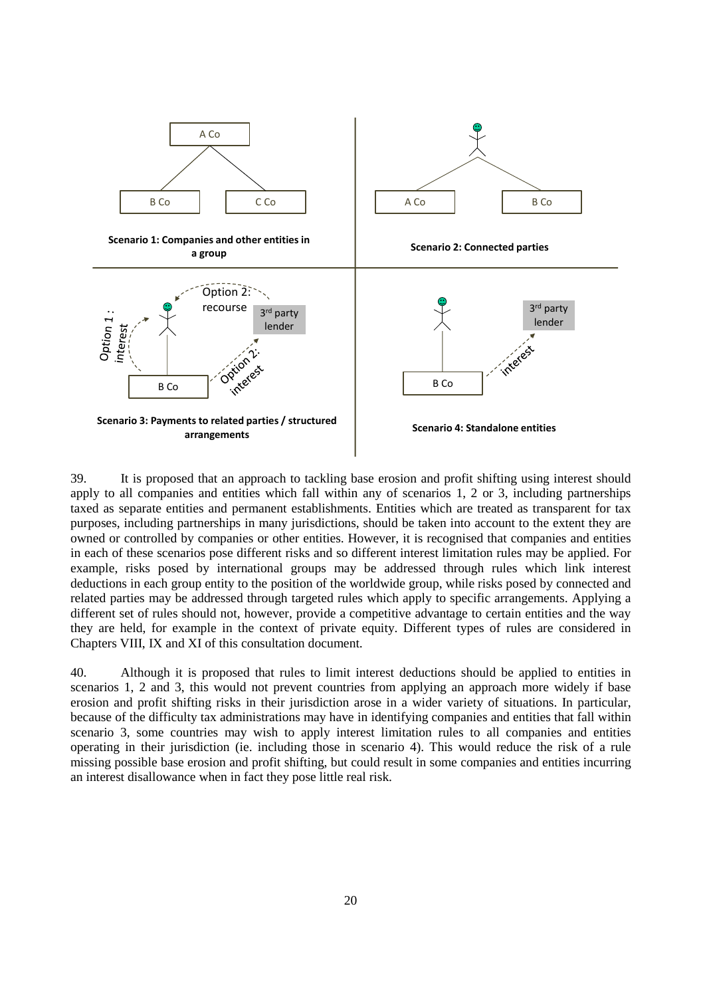

39. It is proposed that an approach to tackling base erosion and profit shifting using interest should apply to all companies and entities which fall within any of scenarios 1, 2 or 3, including partnerships taxed as separate entities and permanent establishments. Entities which are treated as transparent for tax purposes, including partnerships in many jurisdictions, should be taken into account to the extent they are owned or controlled by companies or other entities. However, it is recognised that companies and entities in each of these scenarios pose different risks and so different interest limitation rules may be applied. For example, risks posed by international groups may be addressed through rules which link interest deductions in each group entity to the position of the worldwide group, while risks posed by connected and related parties may be addressed through targeted rules which apply to specific arrangements. Applying a different set of rules should not, however, provide a competitive advantage to certain entities and the way they are held, for example in the context of private equity. Different types of rules are considered in Chapters VIII, IX and XI of this consultation document.

40. Although it is proposed that rules to limit interest deductions should be applied to entities in scenarios 1, 2 and 3, this would not prevent countries from applying an approach more widely if base erosion and profit shifting risks in their jurisdiction arose in a wider variety of situations. In particular, because of the difficulty tax administrations may have in identifying companies and entities that fall within scenario 3, some countries may wish to apply interest limitation rules to all companies and entities operating in their jurisdiction (ie. including those in scenario 4). This would reduce the risk of a rule missing possible base erosion and profit shifting, but could result in some companies and entities incurring an interest disallowance when in fact they pose little real risk.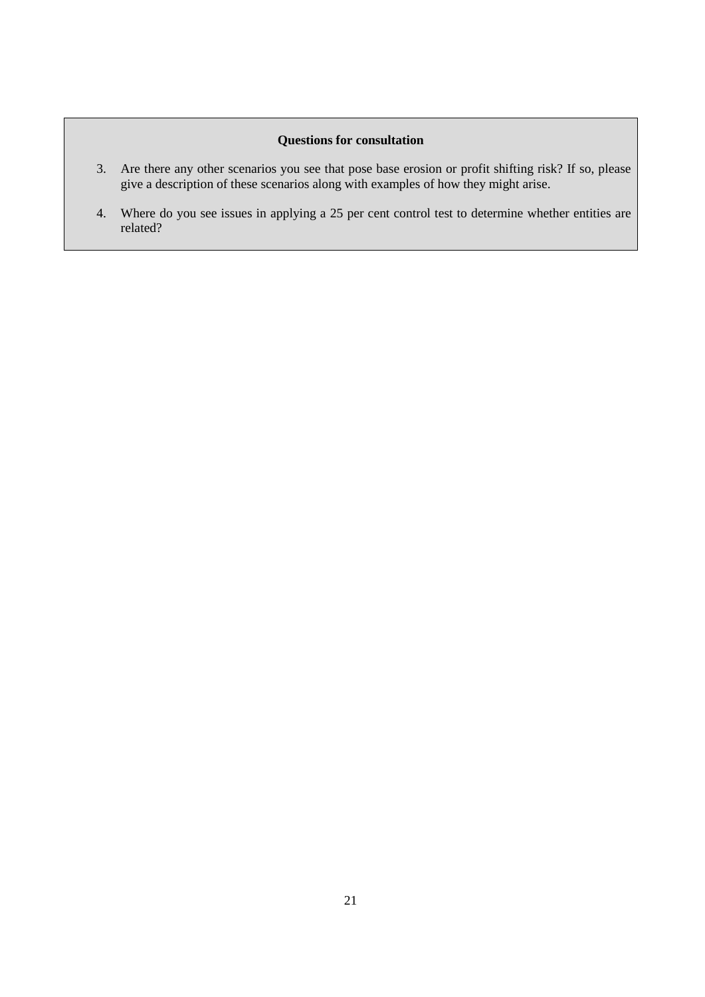# **Questions for consultation**

- 3. Are there any other scenarios you see that pose base erosion or profit shifting risk? If so, please give a description of these scenarios along with examples of how they might arise.
- 4. Where do you see issues in applying a 25 per cent control test to determine whether entities are related?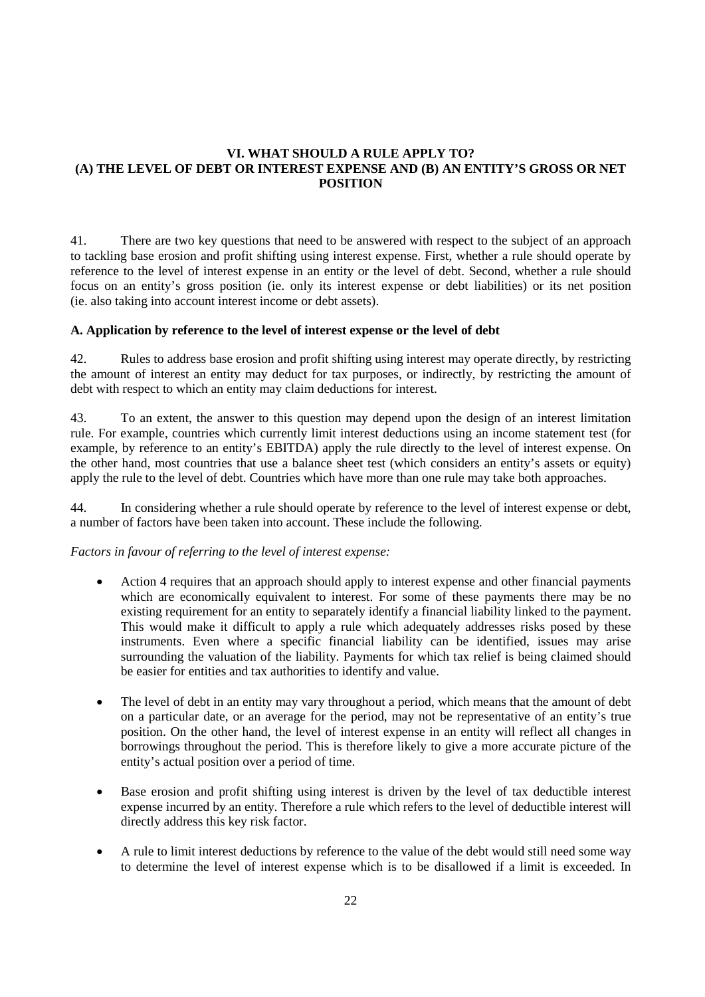# **VI. WHAT SHOULD A RULE APPLY TO? (A) THE LEVEL OF DEBT OR INTEREST EXPENSE AND (B) AN ENTITY'S GROSS OR NET POSITION**

41. There are two key questions that need to be answered with respect to the subject of an approach to tackling base erosion and profit shifting using interest expense. First, whether a rule should operate by reference to the level of interest expense in an entity or the level of debt. Second, whether a rule should focus on an entity's gross position (ie. only its interest expense or debt liabilities) or its net position (ie. also taking into account interest income or debt assets).

## **A. Application by reference to the level of interest expense or the level of debt**

42. Rules to address base erosion and profit shifting using interest may operate directly, by restricting the amount of interest an entity may deduct for tax purposes, or indirectly, by restricting the amount of debt with respect to which an entity may claim deductions for interest.

43. To an extent, the answer to this question may depend upon the design of an interest limitation rule. For example, countries which currently limit interest deductions using an income statement test (for example, by reference to an entity's EBITDA) apply the rule directly to the level of interest expense. On the other hand, most countries that use a balance sheet test (which considers an entity's assets or equity) apply the rule to the level of debt. Countries which have more than one rule may take both approaches.

44. In considering whether a rule should operate by reference to the level of interest expense or debt, a number of factors have been taken into account. These include the following.

## *Factors in favour of referring to the level of interest expense:*

- Action 4 requires that an approach should apply to interest expense and other financial payments which are economically equivalent to interest. For some of these payments there may be no existing requirement for an entity to separately identify a financial liability linked to the payment. This would make it difficult to apply a rule which adequately addresses risks posed by these instruments. Even where a specific financial liability can be identified, issues may arise surrounding the valuation of the liability. Payments for which tax relief is being claimed should be easier for entities and tax authorities to identify and value.
- The level of debt in an entity may vary throughout a period, which means that the amount of debt on a particular date, or an average for the period, may not be representative of an entity's true position. On the other hand, the level of interest expense in an entity will reflect all changes in borrowings throughout the period. This is therefore likely to give a more accurate picture of the entity's actual position over a period of time.
- Base erosion and profit shifting using interest is driven by the level of tax deductible interest expense incurred by an entity. Therefore a rule which refers to the level of deductible interest will directly address this key risk factor.
- A rule to limit interest deductions by reference to the value of the debt would still need some way to determine the level of interest expense which is to be disallowed if a limit is exceeded. In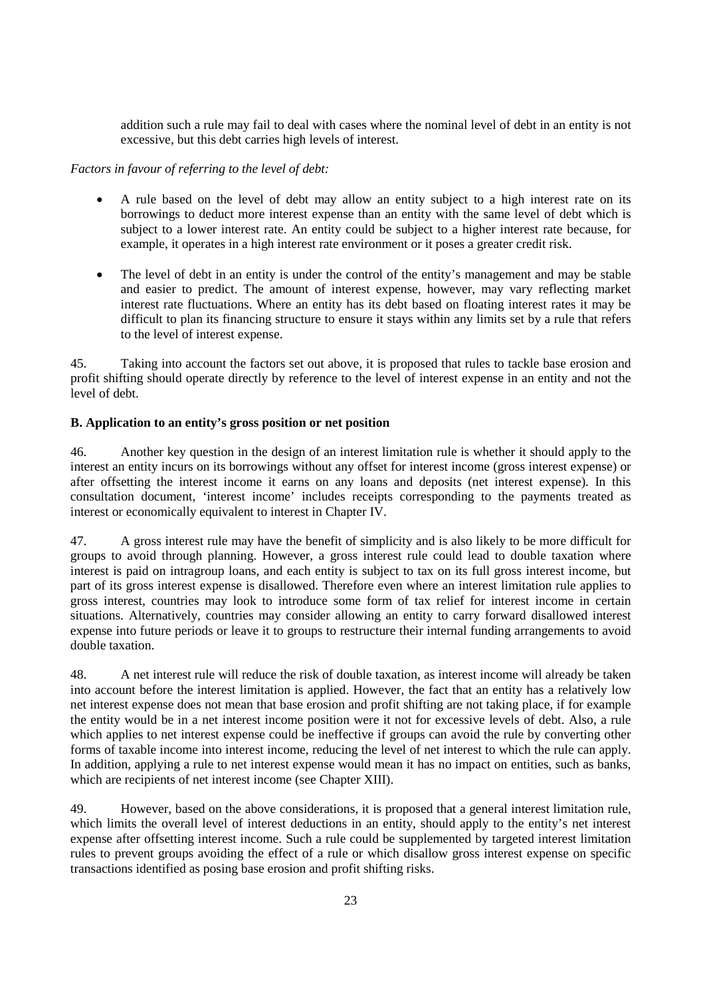addition such a rule may fail to deal with cases where the nominal level of debt in an entity is not excessive, but this debt carries high levels of interest.

# *Factors in favour of referring to the level of debt:*

- A rule based on the level of debt may allow an entity subject to a high interest rate on its borrowings to deduct more interest expense than an entity with the same level of debt which is subject to a lower interest rate. An entity could be subject to a higher interest rate because, for example, it operates in a high interest rate environment or it poses a greater credit risk.
- The level of debt in an entity is under the control of the entity's management and may be stable and easier to predict. The amount of interest expense, however, may vary reflecting market interest rate fluctuations. Where an entity has its debt based on floating interest rates it may be difficult to plan its financing structure to ensure it stays within any limits set by a rule that refers to the level of interest expense.

45. Taking into account the factors set out above, it is proposed that rules to tackle base erosion and profit shifting should operate directly by reference to the level of interest expense in an entity and not the level of debt.

# **B. Application to an entity's gross position or net position**

46. Another key question in the design of an interest limitation rule is whether it should apply to the interest an entity incurs on its borrowings without any offset for interest income (gross interest expense) or after offsetting the interest income it earns on any loans and deposits (net interest expense). In this consultation document, 'interest income' includes receipts corresponding to the payments treated as interest or economically equivalent to interest in Chapter IV.

47. A gross interest rule may have the benefit of simplicity and is also likely to be more difficult for groups to avoid through planning. However, a gross interest rule could lead to double taxation where interest is paid on intragroup loans, and each entity is subject to tax on its full gross interest income, but part of its gross interest expense is disallowed. Therefore even where an interest limitation rule applies to gross interest, countries may look to introduce some form of tax relief for interest income in certain situations. Alternatively, countries may consider allowing an entity to carry forward disallowed interest expense into future periods or leave it to groups to restructure their internal funding arrangements to avoid double taxation.

48. A net interest rule will reduce the risk of double taxation, as interest income will already be taken into account before the interest limitation is applied. However, the fact that an entity has a relatively low net interest expense does not mean that base erosion and profit shifting are not taking place, if for example the entity would be in a net interest income position were it not for excessive levels of debt. Also, a rule which applies to net interest expense could be ineffective if groups can avoid the rule by converting other forms of taxable income into interest income, reducing the level of net interest to which the rule can apply. In addition, applying a rule to net interest expense would mean it has no impact on entities, such as banks, which are recipients of net interest income (see Chapter XIII).

49. However, based on the above considerations, it is proposed that a general interest limitation rule, which limits the overall level of interest deductions in an entity, should apply to the entity's net interest expense after offsetting interest income. Such a rule could be supplemented by targeted interest limitation rules to prevent groups avoiding the effect of a rule or which disallow gross interest expense on specific transactions identified as posing base erosion and profit shifting risks.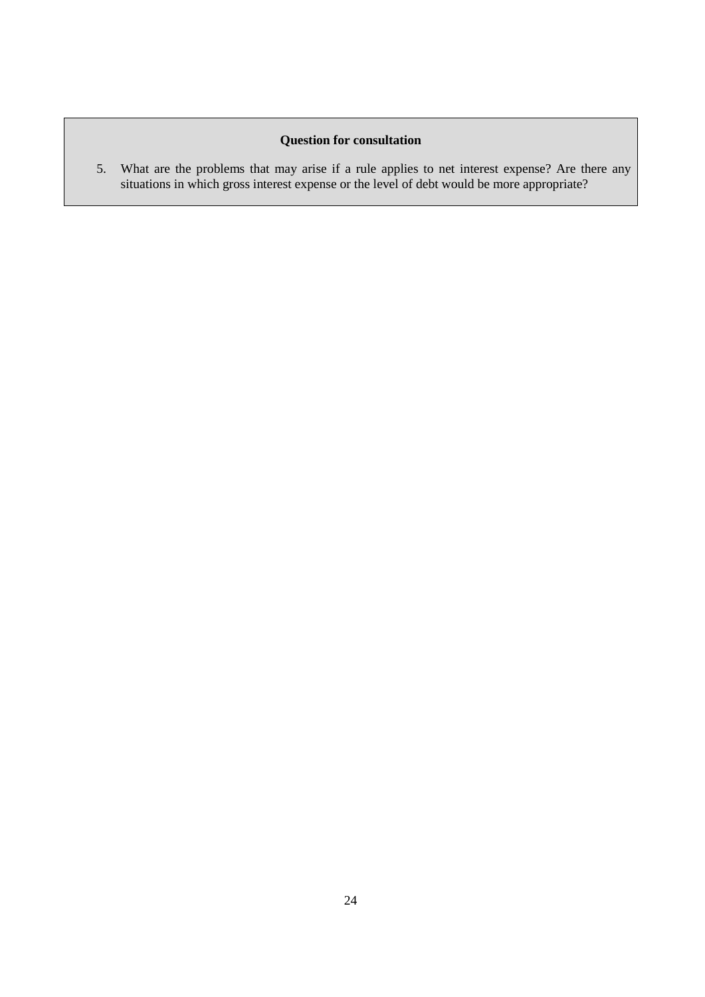# **Question for consultation**

5. What are the problems that may arise if a rule applies to net interest expense? Are there any situations in which gross interest expense or the level of debt would be more appropriate?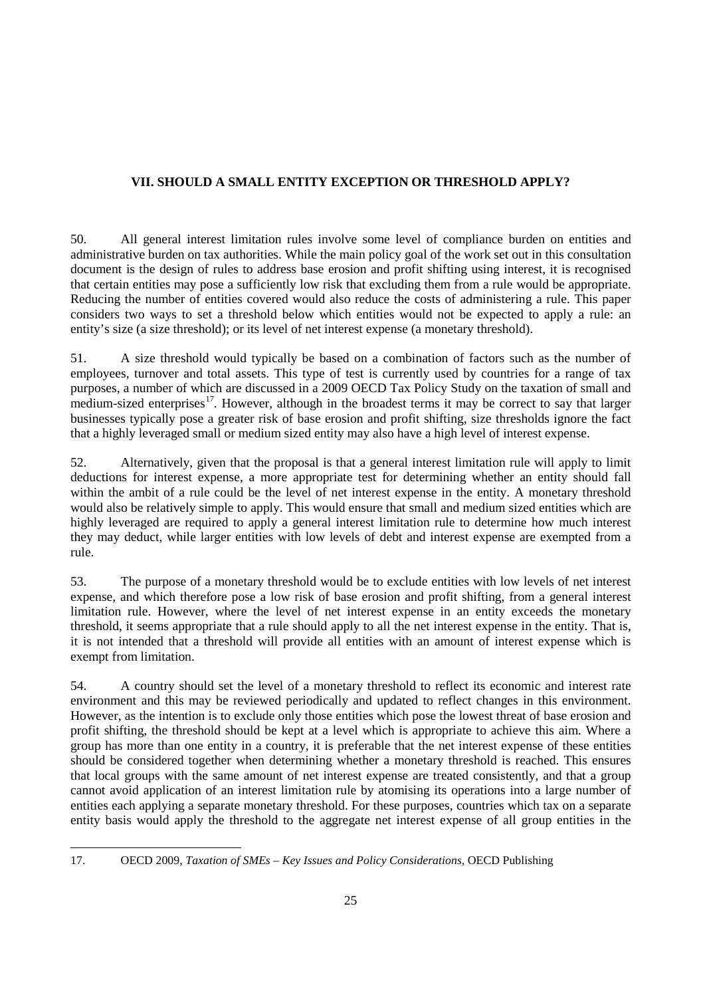# **VII. SHOULD A SMALL ENTITY EXCEPTION OR THRESHOLD APPLY?**

50. All general interest limitation rules involve some level of compliance burden on entities and administrative burden on tax authorities. While the main policy goal of the work set out in this consultation document is the design of rules to address base erosion and profit shifting using interest, it is recognised that certain entities may pose a sufficiently low risk that excluding them from a rule would be appropriate. Reducing the number of entities covered would also reduce the costs of administering a rule. This paper considers two ways to set a threshold below which entities would not be expected to apply a rule: an entity's size (a size threshold); or its level of net interest expense (a monetary threshold).

51. A size threshold would typically be based on a combination of factors such as the number of employees, turnover and total assets. This type of test is currently used by countries for a range of tax purposes, a number of which are discussed in a 2009 OECD Tax Policy Study on the taxation of small and medium-sized enterprises<sup>17</sup>. However, although in the broadest terms it may be correct to say that larger businesses typically pose a greater risk of base erosion and profit shifting, size thresholds ignore the fact that a highly leveraged small or medium sized entity may also have a high level of interest expense.

52. Alternatively, given that the proposal is that a general interest limitation rule will apply to limit deductions for interest expense, a more appropriate test for determining whether an entity should fall within the ambit of a rule could be the level of net interest expense in the entity. A monetary threshold would also be relatively simple to apply. This would ensure that small and medium sized entities which are highly leveraged are required to apply a general interest limitation rule to determine how much interest they may deduct, while larger entities with low levels of debt and interest expense are exempted from a rule.

53. The purpose of a monetary threshold would be to exclude entities with low levels of net interest expense, and which therefore pose a low risk of base erosion and profit shifting, from a general interest limitation rule. However, where the level of net interest expense in an entity exceeds the monetary threshold, it seems appropriate that a rule should apply to all the net interest expense in the entity. That is, it is not intended that a threshold will provide all entities with an amount of interest expense which is exempt from limitation.

54. A country should set the level of a monetary threshold to reflect its economic and interest rate environment and this may be reviewed periodically and updated to reflect changes in this environment. However, as the intention is to exclude only those entities which pose the lowest threat of base erosion and profit shifting, the threshold should be kept at a level which is appropriate to achieve this aim. Where a group has more than one entity in a country, it is preferable that the net interest expense of these entities should be considered together when determining whether a monetary threshold is reached. This ensures that local groups with the same amount of net interest expense are treated consistently, and that a group cannot avoid application of an interest limitation rule by atomising its operations into a large number of entities each applying a separate monetary threshold. For these purposes, countries which tax on a separate entity basis would apply the threshold to the aggregate net interest expense of all group entities in the

<span id="page-24-0"></span> $\overline{a}$ 17. OECD 2009, *Taxation of SMEs – Key Issues and Policy Considerations,* OECD Publishing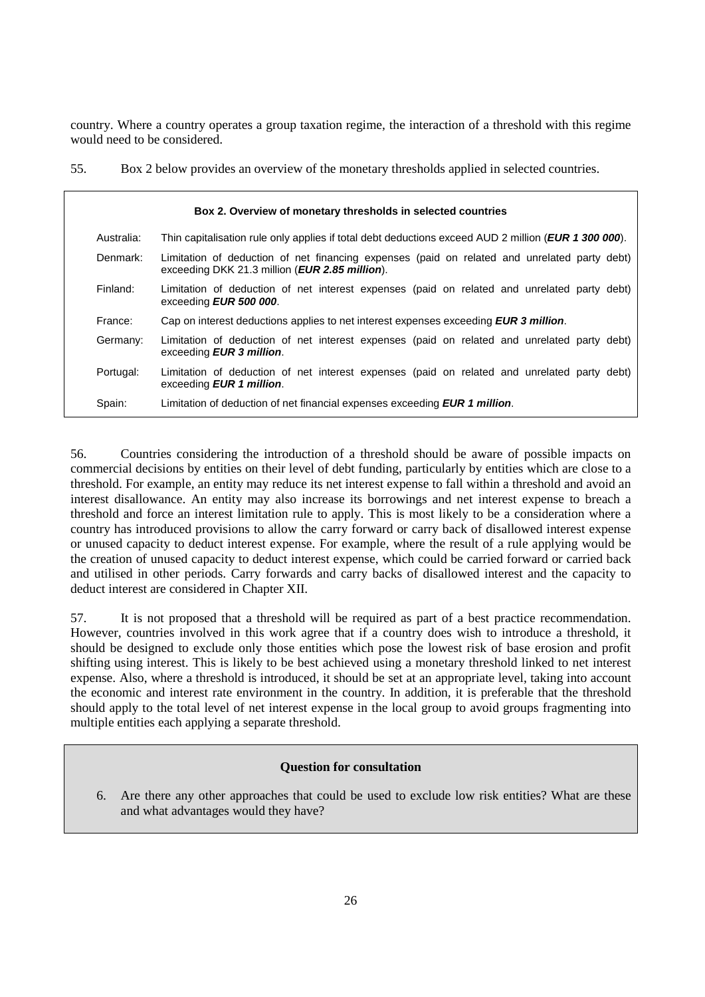country. Where a country operates a group taxation regime, the interaction of a threshold with this regime would need to be considered.

55. Box 2 below provides an overview of the monetary thresholds applied in selected countries.

|            | Box 2. Overview of monetary thresholds in selected countries                                                                                            |
|------------|---------------------------------------------------------------------------------------------------------------------------------------------------------|
| Australia: | Thin capitalisation rule only applies if total debt deductions exceed AUD 2 million ( <i>EUR 1 300 000</i> ).                                           |
| Denmark:   | Limitation of deduction of net financing expenses (paid on related and unrelated party debt)<br>exceeding DKK 21.3 million ( <i>EUR 2.85 million</i> ). |
| Finland:   | Limitation of deduction of net interest expenses (paid on related and unrelated party debt)<br>exceeding EUR 500 000.                                   |
| France:    | Cap on interest deductions applies to net interest expenses exceeding <b>EUR 3 million</b> .                                                            |
| Germany:   | Limitation of deduction of net interest expenses (paid on related and unrelated party debt)<br>exceeding <b>EUR 3 million</b> .                         |
| Portugal:  | Limitation of deduction of net interest expenses (paid on related and unrelated party debt)<br>exceeding <b>EUR 1 million</b> .                         |
| Spain:     | Limitation of deduction of net financial expenses exceeding <b>EUR 1 million</b> .                                                                      |

56. Countries considering the introduction of a threshold should be aware of possible impacts on commercial decisions by entities on their level of debt funding, particularly by entities which are close to a threshold. For example, an entity may reduce its net interest expense to fall within a threshold and avoid an interest disallowance. An entity may also increase its borrowings and net interest expense to breach a threshold and force an interest limitation rule to apply. This is most likely to be a consideration where a country has introduced provisions to allow the carry forward or carry back of disallowed interest expense or unused capacity to deduct interest expense. For example, where the result of a rule applying would be the creation of unused capacity to deduct interest expense, which could be carried forward or carried back and utilised in other periods. Carry forwards and carry backs of disallowed interest and the capacity to deduct interest are considered in Chapter XII.

57. It is not proposed that a threshold will be required as part of a best practice recommendation. However, countries involved in this work agree that if a country does wish to introduce a threshold, it should be designed to exclude only those entities which pose the lowest risk of base erosion and profit shifting using interest. This is likely to be best achieved using a monetary threshold linked to net interest expense. Also, where a threshold is introduced, it should be set at an appropriate level, taking into account the economic and interest rate environment in the country. In addition, it is preferable that the threshold should apply to the total level of net interest expense in the local group to avoid groups fragmenting into multiple entities each applying a separate threshold.

# **Question for consultation**

6. Are there any other approaches that could be used to exclude low risk entities? What are these and what advantages would they have?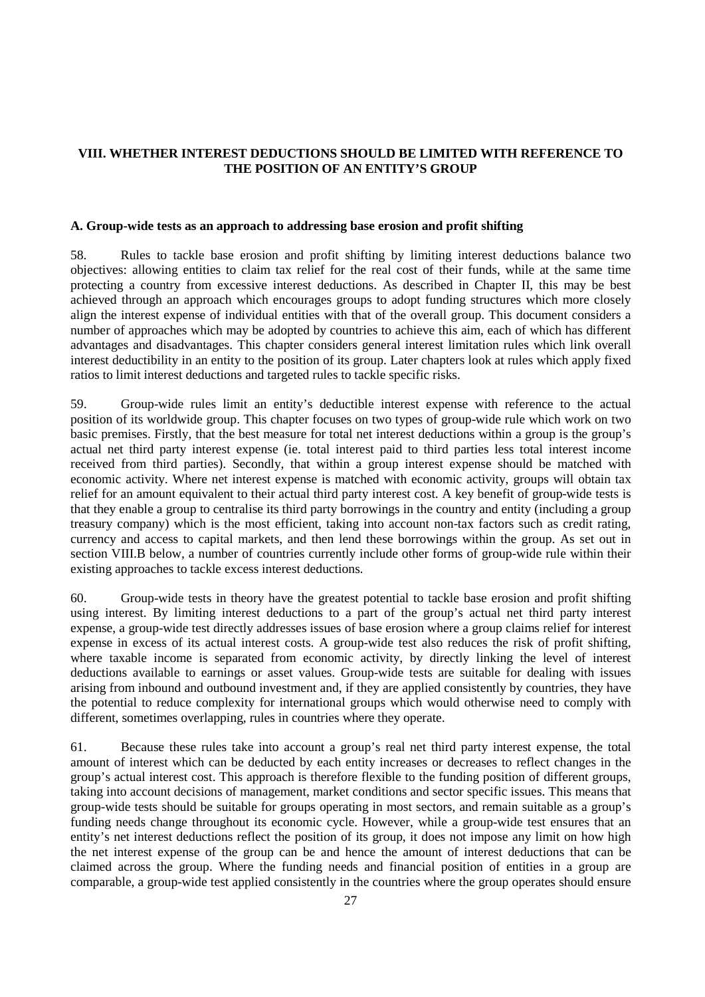# **VIII. WHETHER INTEREST DEDUCTIONS SHOULD BE LIMITED WITH REFERENCE TO THE POSITION OF AN ENTITY'S GROUP**

#### **A. Group-wide tests as an approach to addressing base erosion and profit shifting**

58. Rules to tackle base erosion and profit shifting by limiting interest deductions balance two objectives: allowing entities to claim tax relief for the real cost of their funds, while at the same time protecting a country from excessive interest deductions. As described in Chapter II, this may be best achieved through an approach which encourages groups to adopt funding structures which more closely align the interest expense of individual entities with that of the overall group. This document considers a number of approaches which may be adopted by countries to achieve this aim, each of which has different advantages and disadvantages. This chapter considers general interest limitation rules which link overall interest deductibility in an entity to the position of its group. Later chapters look at rules which apply fixed ratios to limit interest deductions and targeted rules to tackle specific risks.

59. Group-wide rules limit an entity's deductible interest expense with reference to the actual position of its worldwide group. This chapter focuses on two types of group-wide rule which work on two basic premises. Firstly, that the best measure for total net interest deductions within a group is the group's actual net third party interest expense (ie. total interest paid to third parties less total interest income received from third parties). Secondly, that within a group interest expense should be matched with economic activity. Where net interest expense is matched with economic activity, groups will obtain tax relief for an amount equivalent to their actual third party interest cost. A key benefit of group-wide tests is that they enable a group to centralise its third party borrowings in the country and entity (including a group treasury company) which is the most efficient, taking into account non-tax factors such as credit rating, currency and access to capital markets, and then lend these borrowings within the group. As set out in section VIII.B below, a number of countries currently include other forms of group-wide rule within their existing approaches to tackle excess interest deductions.

60. Group-wide tests in theory have the greatest potential to tackle base erosion and profit shifting using interest. By limiting interest deductions to a part of the group's actual net third party interest expense, a group-wide test directly addresses issues of base erosion where a group claims relief for interest expense in excess of its actual interest costs. A group-wide test also reduces the risk of profit shifting, where taxable income is separated from economic activity, by directly linking the level of interest deductions available to earnings or asset values. Group-wide tests are suitable for dealing with issues arising from inbound and outbound investment and, if they are applied consistently by countries, they have the potential to reduce complexity for international groups which would otherwise need to comply with different, sometimes overlapping, rules in countries where they operate.

61. Because these rules take into account a group's real net third party interest expense, the total amount of interest which can be deducted by each entity increases or decreases to reflect changes in the group's actual interest cost. This approach is therefore flexible to the funding position of different groups, taking into account decisions of management, market conditions and sector specific issues. This means that group-wide tests should be suitable for groups operating in most sectors, and remain suitable as a group's funding needs change throughout its economic cycle. However, while a group-wide test ensures that an entity's net interest deductions reflect the position of its group, it does not impose any limit on how high the net interest expense of the group can be and hence the amount of interest deductions that can be claimed across the group. Where the funding needs and financial position of entities in a group are comparable, a group-wide test applied consistently in the countries where the group operates should ensure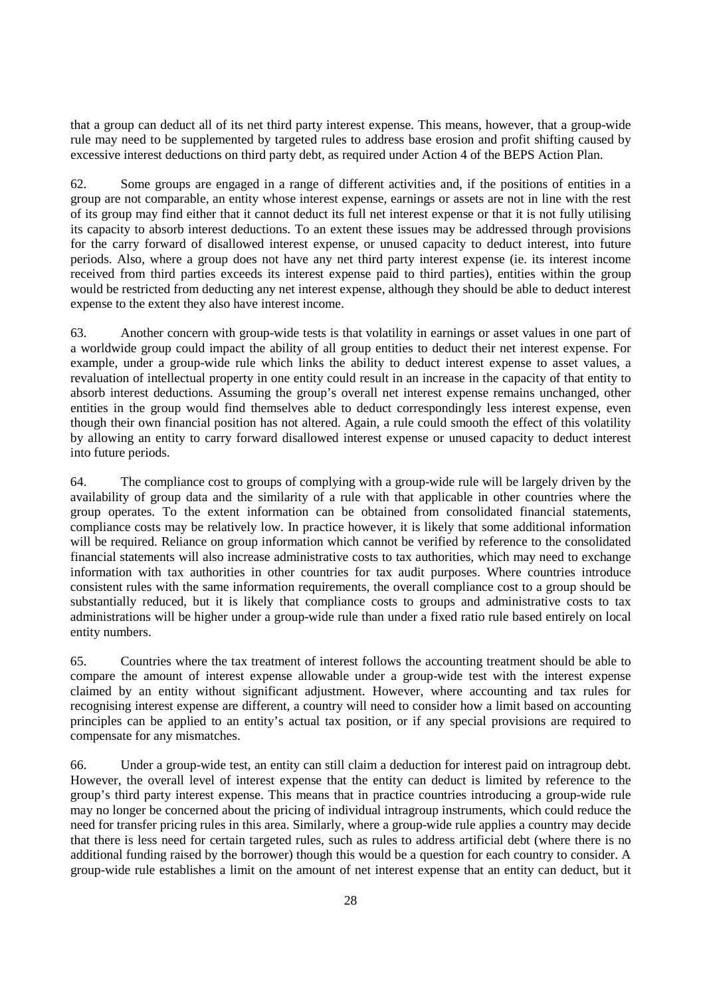that a group can deduct all of its net third party interest expense. This means, however, that a group-wide rule may need to be supplemented by targeted rules to address base erosion and profit shifting caused by excessive interest deductions on third party debt, as required under Action 4 of the BEPS Action Plan.

62. Some groups are engaged in a range of different activities and, if the positions of entities in a group are not comparable, an entity whose interest expense, earnings or assets are not in line with the rest of its group may find either that it cannot deduct its full net interest expense or that it is not fully utilising its capacity to absorb interest deductions. To an extent these issues may be addressed through provisions for the carry forward of disallowed interest expense, or unused capacity to deduct interest, into future periods. Also, where a group does not have any net third party interest expense (ie. its interest income received from third parties exceeds its interest expense paid to third parties), entities within the group would be restricted from deducting any net interest expense, although they should be able to deduct interest expense to the extent they also have interest income.

63. Another concern with group-wide tests is that volatility in earnings or asset values in one part of a worldwide group could impact the ability of all group entities to deduct their net interest expense. For example, under a group-wide rule which links the ability to deduct interest expense to asset values, a revaluation of intellectual property in one entity could result in an increase in the capacity of that entity to absorb interest deductions. Assuming the group's overall net interest expense remains unchanged, other entities in the group would find themselves able to deduct correspondingly less interest expense, even though their own financial position has not altered. Again, a rule could smooth the effect of this volatility by allowing an entity to carry forward disallowed interest expense or unused capacity to deduct interest into future periods.

64. The compliance cost to groups of complying with a group-wide rule will be largely driven by the availability of group data and the similarity of a rule with that applicable in other countries where the group operates. To the extent information can be obtained from consolidated financial statements, compliance costs may be relatively low. In practice however, it is likely that some additional information will be required. Reliance on group information which cannot be verified by reference to the consolidated financial statements will also increase administrative costs to tax authorities, which may need to exchange information with tax authorities in other countries for tax audit purposes. Where countries introduce consistent rules with the same information requirements, the overall compliance cost to a group should be substantially reduced, but it is likely that compliance costs to groups and administrative costs to tax administrations will be higher under a group-wide rule than under a fixed ratio rule based entirely on local entity numbers.

65. Countries where the tax treatment of interest follows the accounting treatment should be able to compare the amount of interest expense allowable under a group-wide test with the interest expense claimed by an entity without significant adjustment. However, where accounting and tax rules for recognising interest expense are different, a country will need to consider how a limit based on accounting principles can be applied to an entity's actual tax position, or if any special provisions are required to compensate for any mismatches.

66. Under a group-wide test, an entity can still claim a deduction for interest paid on intragroup debt. However, the overall level of interest expense that the entity can deduct is limited by reference to the group's third party interest expense. This means that in practice countries introducing a group-wide rule may no longer be concerned about the pricing of individual intragroup instruments, which could reduce the need for transfer pricing rules in this area. Similarly, where a group-wide rule applies a country may decide that there is less need for certain targeted rules, such as rules to address artificial debt (where there is no additional funding raised by the borrower) though this would be a question for each country to consider. A group-wide rule establishes a limit on the amount of net interest expense that an entity can deduct, but it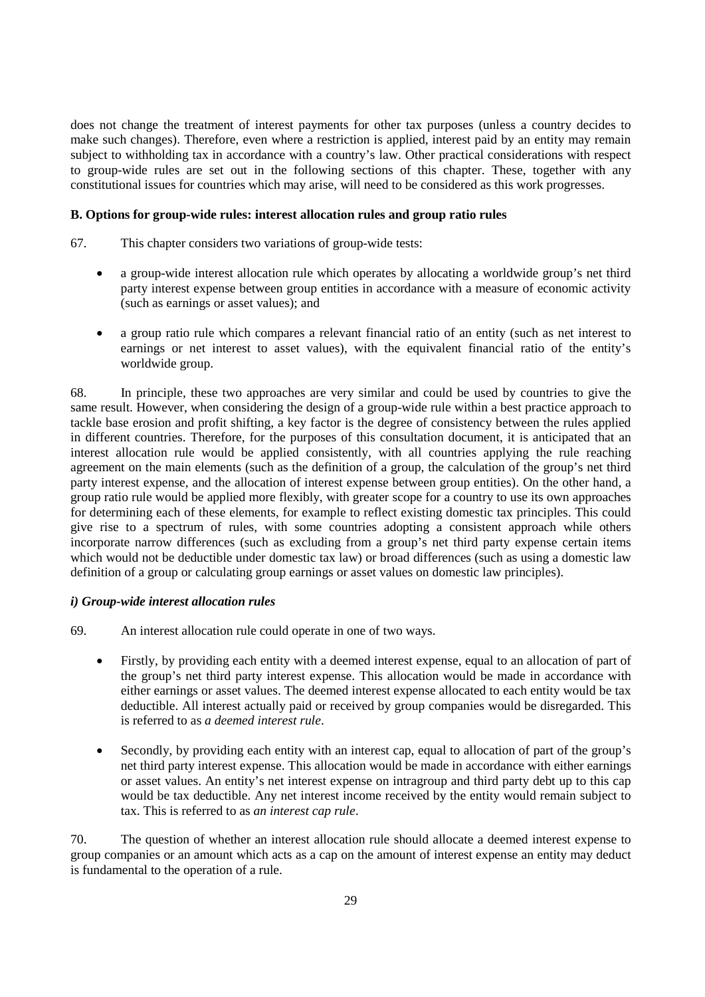does not change the treatment of interest payments for other tax purposes (unless a country decides to make such changes). Therefore, even where a restriction is applied, interest paid by an entity may remain subject to withholding tax in accordance with a country's law. Other practical considerations with respect to group-wide rules are set out in the following sections of this chapter. These, together with any constitutional issues for countries which may arise, will need to be considered as this work progresses.

## **B. Options for group-wide rules: interest allocation rules and group ratio rules**

- 67. This chapter considers two variations of group-wide tests:
	- a group-wide interest allocation rule which operates by allocating a worldwide group's net third party interest expense between group entities in accordance with a measure of economic activity (such as earnings or asset values); and
	- a group ratio rule which compares a relevant financial ratio of an entity (such as net interest to earnings or net interest to asset values), with the equivalent financial ratio of the entity's worldwide group.

68. In principle, these two approaches are very similar and could be used by countries to give the same result. However, when considering the design of a group-wide rule within a best practice approach to tackle base erosion and profit shifting, a key factor is the degree of consistency between the rules applied in different countries. Therefore, for the purposes of this consultation document, it is anticipated that an interest allocation rule would be applied consistently, with all countries applying the rule reaching agreement on the main elements (such as the definition of a group, the calculation of the group's net third party interest expense, and the allocation of interest expense between group entities). On the other hand, a group ratio rule would be applied more flexibly, with greater scope for a country to use its own approaches for determining each of these elements, for example to reflect existing domestic tax principles. This could give rise to a spectrum of rules, with some countries adopting a consistent approach while others incorporate narrow differences (such as excluding from a group's net third party expense certain items which would not be deductible under domestic tax law) or broad differences (such as using a domestic law definition of a group or calculating group earnings or asset values on domestic law principles).

#### *i) Group-wide interest allocation rules*

- 69. An interest allocation rule could operate in one of two ways.
	- Firstly, by providing each entity with a deemed interest expense, equal to an allocation of part of the group's net third party interest expense. This allocation would be made in accordance with either earnings or asset values. The deemed interest expense allocated to each entity would be tax deductible. All interest actually paid or received by group companies would be disregarded. This is referred to as *a deemed interest rule*.
	- Secondly, by providing each entity with an interest cap, equal to allocation of part of the group's net third party interest expense. This allocation would be made in accordance with either earnings or asset values. An entity's net interest expense on intragroup and third party debt up to this cap would be tax deductible. Any net interest income received by the entity would remain subject to tax. This is referred to as *an interest cap rule*.

70. The question of whether an interest allocation rule should allocate a deemed interest expense to group companies or an amount which acts as a cap on the amount of interest expense an entity may deduct is fundamental to the operation of a rule.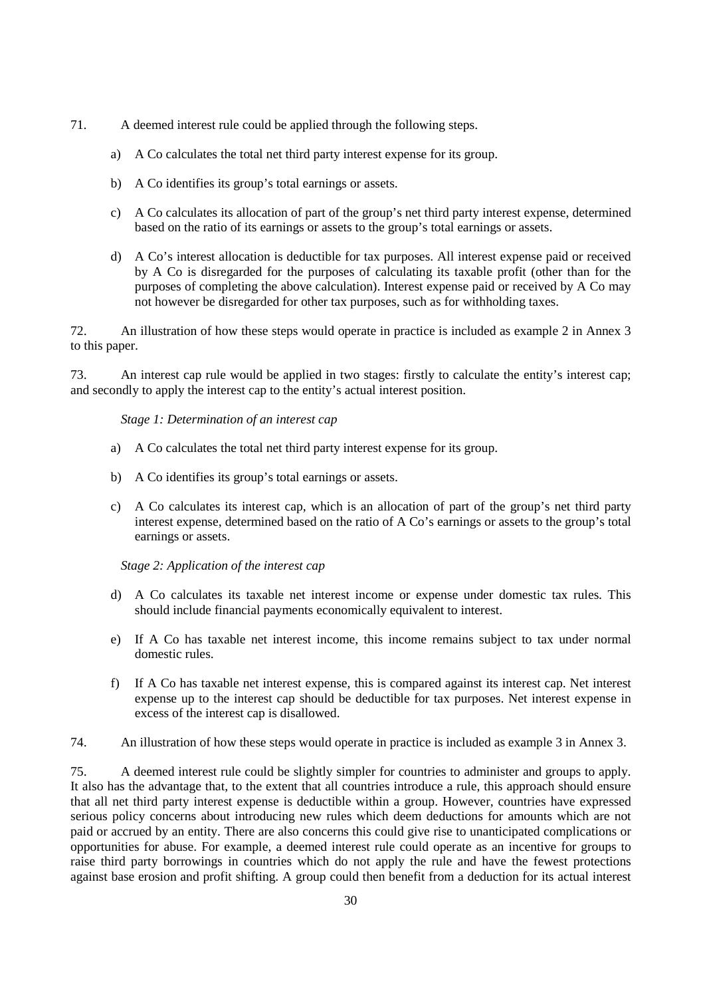- 71. A deemed interest rule could be applied through the following steps.
	- a) A Co calculates the total net third party interest expense for its group.
	- b) A Co identifies its group's total earnings or assets.
	- c) A Co calculates its allocation of part of the group's net third party interest expense, determined based on the ratio of its earnings or assets to the group's total earnings or assets.
	- d) A Co's interest allocation is deductible for tax purposes. All interest expense paid or received by A Co is disregarded for the purposes of calculating its taxable profit (other than for the purposes of completing the above calculation). Interest expense paid or received by A Co may not however be disregarded for other tax purposes, such as for withholding taxes.

72. An illustration of how these steps would operate in practice is included as example 2 in Annex 3 to this paper.

73. An interest cap rule would be applied in two stages: firstly to calculate the entity's interest cap; and secondly to apply the interest cap to the entity's actual interest position.

#### *Stage 1: Determination of an interest cap*

- a) A Co calculates the total net third party interest expense for its group.
- b) A Co identifies its group's total earnings or assets.
- c) A Co calculates its interest cap, which is an allocation of part of the group's net third party interest expense, determined based on the ratio of A Co's earnings or assets to the group's total earnings or assets.

*Stage 2: Application of the interest cap*

- d) A Co calculates its taxable net interest income or expense under domestic tax rules. This should include financial payments economically equivalent to interest.
- e) If A Co has taxable net interest income, this income remains subject to tax under normal domestic rules.
- f) If A Co has taxable net interest expense, this is compared against its interest cap. Net interest expense up to the interest cap should be deductible for tax purposes. Net interest expense in excess of the interest cap is disallowed.
- 74. An illustration of how these steps would operate in practice is included as example 3 in Annex 3.

75. A deemed interest rule could be slightly simpler for countries to administer and groups to apply. It also has the advantage that, to the extent that all countries introduce a rule, this approach should ensure that all net third party interest expense is deductible within a group. However, countries have expressed serious policy concerns about introducing new rules which deem deductions for amounts which are not paid or accrued by an entity. There are also concerns this could give rise to unanticipated complications or opportunities for abuse. For example, a deemed interest rule could operate as an incentive for groups to raise third party borrowings in countries which do not apply the rule and have the fewest protections against base erosion and profit shifting. A group could then benefit from a deduction for its actual interest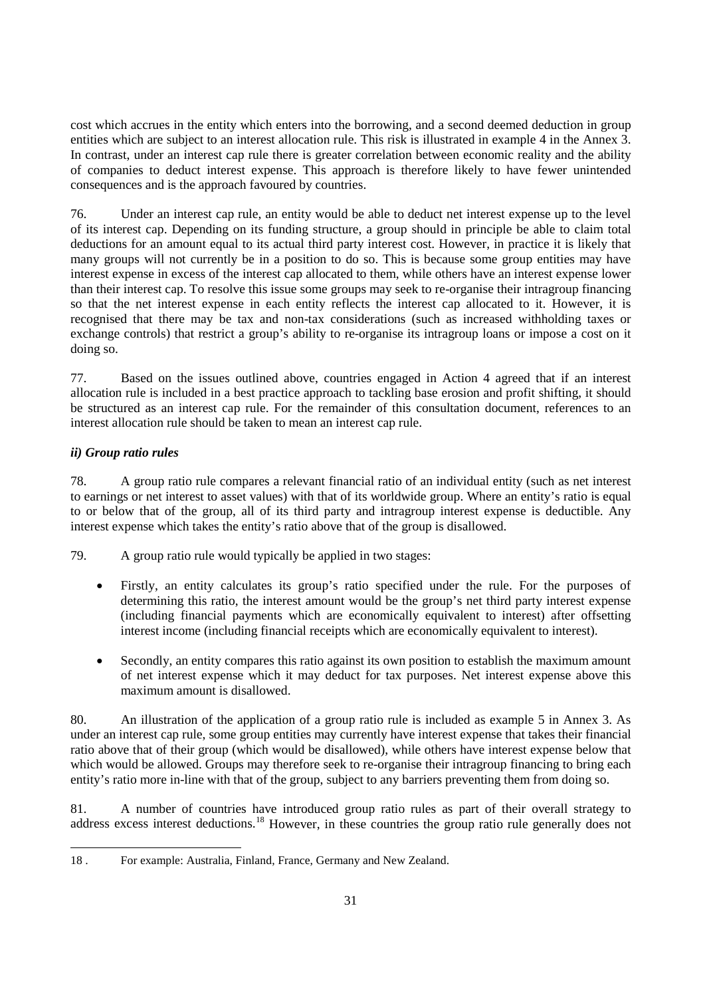cost which accrues in the entity which enters into the borrowing, and a second deemed deduction in group entities which are subject to an interest allocation rule. This risk is illustrated in example 4 in the Annex 3. In contrast, under an interest cap rule there is greater correlation between economic reality and the ability of companies to deduct interest expense. This approach is therefore likely to have fewer unintended consequences and is the approach favoured by countries.

76. Under an interest cap rule, an entity would be able to deduct net interest expense up to the level of its interest cap. Depending on its funding structure, a group should in principle be able to claim total deductions for an amount equal to its actual third party interest cost. However, in practice it is likely that many groups will not currently be in a position to do so. This is because some group entities may have interest expense in excess of the interest cap allocated to them, while others have an interest expense lower than their interest cap. To resolve this issue some groups may seek to re-organise their intragroup financing so that the net interest expense in each entity reflects the interest cap allocated to it. However, it is recognised that there may be tax and non-tax considerations (such as increased withholding taxes or exchange controls) that restrict a group's ability to re-organise its intragroup loans or impose a cost on it doing so.

77. Based on the issues outlined above, countries engaged in Action 4 agreed that if an interest allocation rule is included in a best practice approach to tackling base erosion and profit shifting, it should be structured as an interest cap rule. For the remainder of this consultation document, references to an interest allocation rule should be taken to mean an interest cap rule.

# *ii) Group ratio rules*

78. A group ratio rule compares a relevant financial ratio of an individual entity (such as net interest to earnings or net interest to asset values) with that of its worldwide group. Where an entity's ratio is equal to or below that of the group, all of its third party and intragroup interest expense is deductible. Any interest expense which takes the entity's ratio above that of the group is disallowed.

79. A group ratio rule would typically be applied in two stages:

- Firstly, an entity calculates its group's ratio specified under the rule. For the purposes of determining this ratio, the interest amount would be the group's net third party interest expense (including financial payments which are economically equivalent to interest) after offsetting interest income (including financial receipts which are economically equivalent to interest).
- Secondly, an entity compares this ratio against its own position to establish the maximum amount of net interest expense which it may deduct for tax purposes. Net interest expense above this maximum amount is disallowed.

80. An illustration of the application of a group ratio rule is included as example 5 in Annex 3. As under an interest cap rule, some group entities may currently have interest expense that takes their financial ratio above that of their group (which would be disallowed), while others have interest expense below that which would be allowed. Groups may therefore seek to re-organise their intragroup financing to bring each entity's ratio more in-line with that of the group, subject to any barriers preventing them from doing so.

81. A number of countries have introduced group ratio rules as part of their overall strategy to address excess interest deductions.<sup>[18](#page-30-0)</sup> However, in these countries the group ratio rule generally does not

<span id="page-30-0"></span> $\overline{a}$ 18 . For example: Australia, Finland, France, Germany and New Zealand.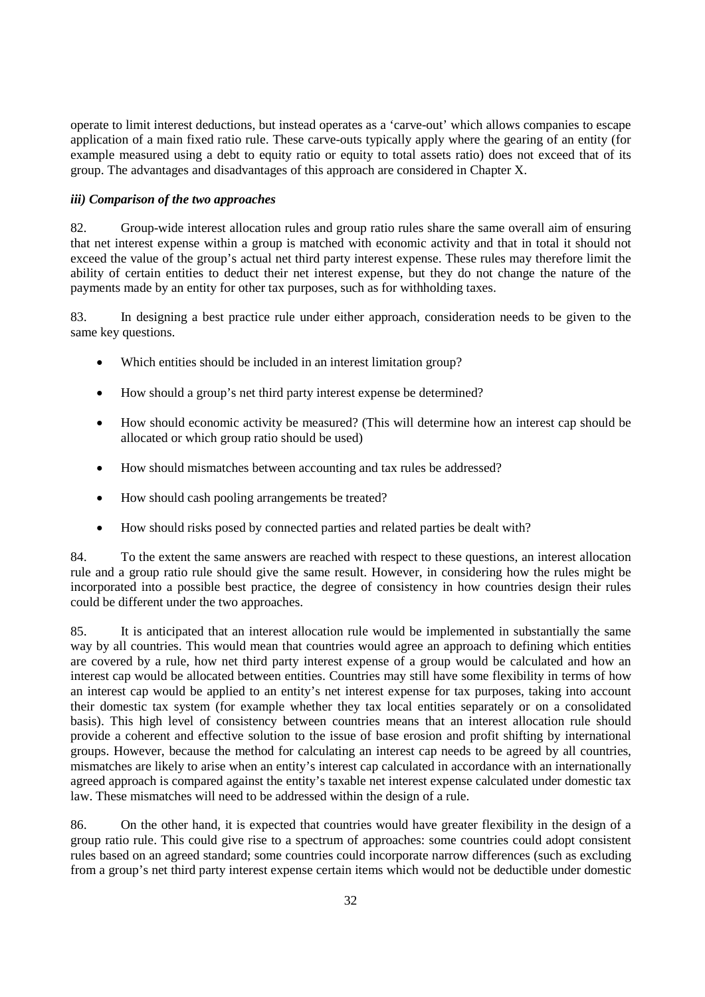operate to limit interest deductions, but instead operates as a 'carve-out' which allows companies to escape application of a main fixed ratio rule. These carve-outs typically apply where the gearing of an entity (for example measured using a debt to equity ratio or equity to total assets ratio) does not exceed that of its group. The advantages and disadvantages of this approach are considered in Chapter X.

# *iii) Comparison of the two approaches*

82. Group-wide interest allocation rules and group ratio rules share the same overall aim of ensuring that net interest expense within a group is matched with economic activity and that in total it should not exceed the value of the group's actual net third party interest expense. These rules may therefore limit the ability of certain entities to deduct their net interest expense, but they do not change the nature of the payments made by an entity for other tax purposes, such as for withholding taxes.

83. In designing a best practice rule under either approach, consideration needs to be given to the same key questions.

- Which entities should be included in an interest limitation group?
- How should a group's net third party interest expense be determined?
- How should economic activity be measured? (This will determine how an interest cap should be allocated or which group ratio should be used)
- How should mismatches between accounting and tax rules be addressed?
- How should cash pooling arrangements be treated?
- How should risks posed by connected parties and related parties be dealt with?

84. To the extent the same answers are reached with respect to these questions, an interest allocation rule and a group ratio rule should give the same result. However, in considering how the rules might be incorporated into a possible best practice, the degree of consistency in how countries design their rules could be different under the two approaches.

85. It is anticipated that an interest allocation rule would be implemented in substantially the same way by all countries. This would mean that countries would agree an approach to defining which entities are covered by a rule, how net third party interest expense of a group would be calculated and how an interest cap would be allocated between entities. Countries may still have some flexibility in terms of how an interest cap would be applied to an entity's net interest expense for tax purposes, taking into account their domestic tax system (for example whether they tax local entities separately or on a consolidated basis). This high level of consistency between countries means that an interest allocation rule should provide a coherent and effective solution to the issue of base erosion and profit shifting by international groups. However, because the method for calculating an interest cap needs to be agreed by all countries, mismatches are likely to arise when an entity's interest cap calculated in accordance with an internationally agreed approach is compared against the entity's taxable net interest expense calculated under domestic tax law. These mismatches will need to be addressed within the design of a rule.

86. On the other hand, it is expected that countries would have greater flexibility in the design of a group ratio rule. This could give rise to a spectrum of approaches: some countries could adopt consistent rules based on an agreed standard; some countries could incorporate narrow differences (such as excluding from a group's net third party interest expense certain items which would not be deductible under domestic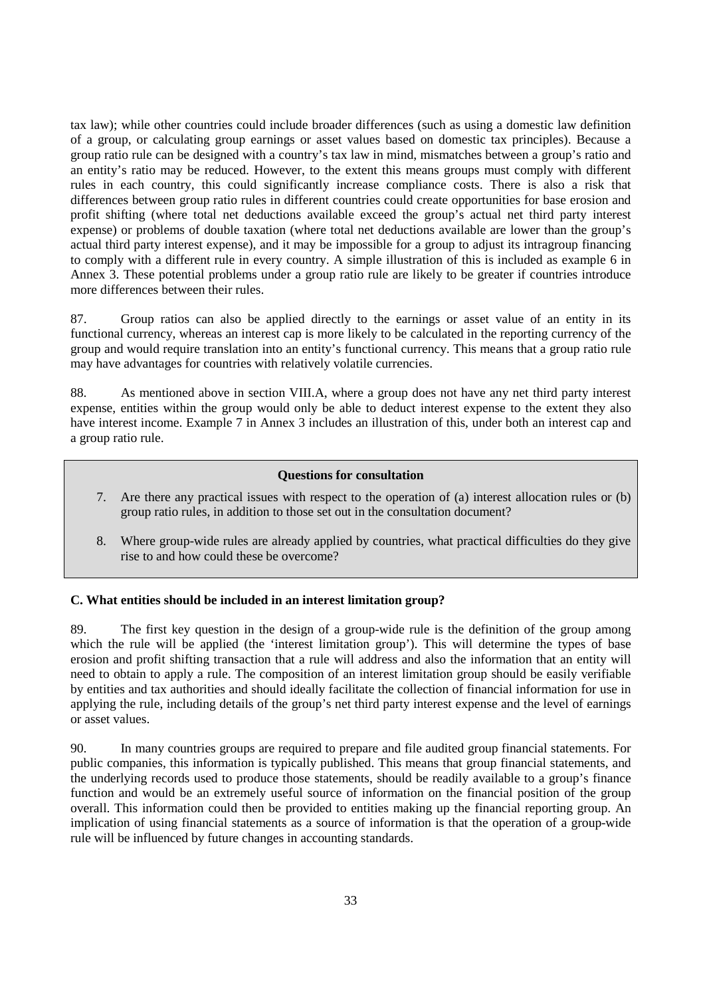tax law); while other countries could include broader differences (such as using a domestic law definition of a group, or calculating group earnings or asset values based on domestic tax principles). Because a group ratio rule can be designed with a country's tax law in mind, mismatches between a group's ratio and an entity's ratio may be reduced. However, to the extent this means groups must comply with different rules in each country, this could significantly increase compliance costs. There is also a risk that differences between group ratio rules in different countries could create opportunities for base erosion and profit shifting (where total net deductions available exceed the group's actual net third party interest expense) or problems of double taxation (where total net deductions available are lower than the group's actual third party interest expense), and it may be impossible for a group to adjust its intragroup financing to comply with a different rule in every country. A simple illustration of this is included as example 6 in Annex 3. These potential problems under a group ratio rule are likely to be greater if countries introduce more differences between their rules.

87. Group ratios can also be applied directly to the earnings or asset value of an entity in its functional currency, whereas an interest cap is more likely to be calculated in the reporting currency of the group and would require translation into an entity's functional currency. This means that a group ratio rule may have advantages for countries with relatively volatile currencies.

88. As mentioned above in section VIII.A, where a group does not have any net third party interest expense, entities within the group would only be able to deduct interest expense to the extent they also have interest income. Example 7 in Annex 3 includes an illustration of this, under both an interest cap and a group ratio rule.

#### **Questions for consultation**

- 7. Are there any practical issues with respect to the operation of (a) interest allocation rules or (b) group ratio rules, in addition to those set out in the consultation document?
- 8. Where group-wide rules are already applied by countries, what practical difficulties do they give rise to and how could these be overcome?

#### **C. What entities should be included in an interest limitation group?**

89. The first key question in the design of a group-wide rule is the definition of the group among which the rule will be applied (the 'interest limitation group'). This will determine the types of base erosion and profit shifting transaction that a rule will address and also the information that an entity will need to obtain to apply a rule. The composition of an interest limitation group should be easily verifiable by entities and tax authorities and should ideally facilitate the collection of financial information for use in applying the rule, including details of the group's net third party interest expense and the level of earnings or asset values.

90. In many countries groups are required to prepare and file audited group financial statements. For public companies, this information is typically published. This means that group financial statements, and the underlying records used to produce those statements, should be readily available to a group's finance function and would be an extremely useful source of information on the financial position of the group overall. This information could then be provided to entities making up the financial reporting group. An implication of using financial statements as a source of information is that the operation of a group-wide rule will be influenced by future changes in accounting standards.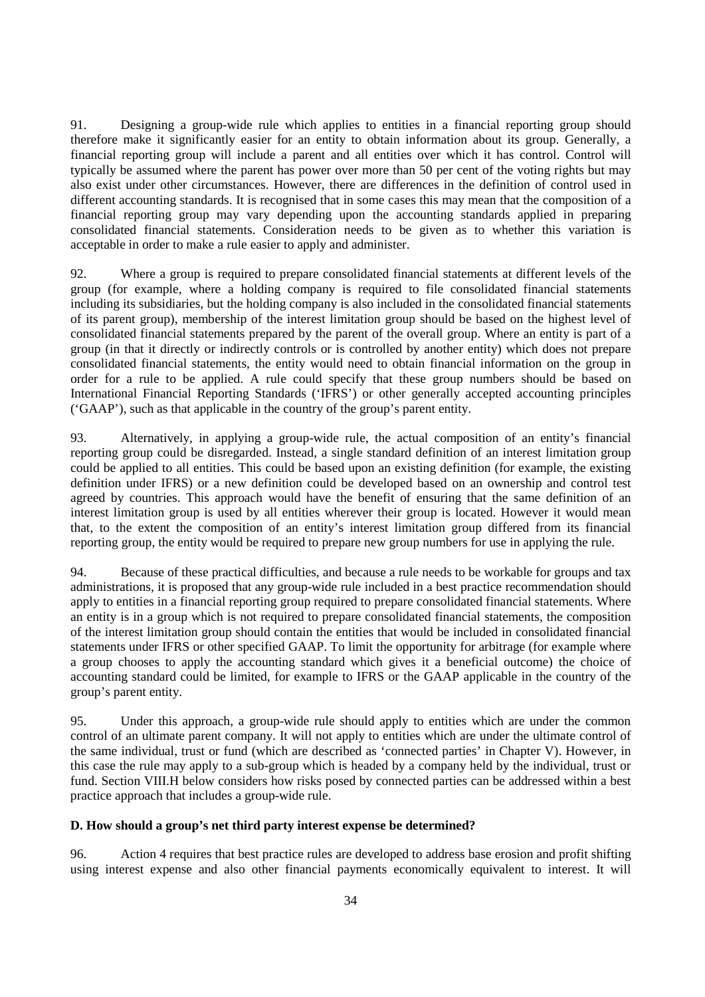91. Designing a group-wide rule which applies to entities in a financial reporting group should therefore make it significantly easier for an entity to obtain information about its group. Generally, a financial reporting group will include a parent and all entities over which it has control. Control will typically be assumed where the parent has power over more than 50 per cent of the voting rights but may also exist under other circumstances. However, there are differences in the definition of control used in different accounting standards. It is recognised that in some cases this may mean that the composition of a financial reporting group may vary depending upon the accounting standards applied in preparing consolidated financial statements. Consideration needs to be given as to whether this variation is acceptable in order to make a rule easier to apply and administer.

92. Where a group is required to prepare consolidated financial statements at different levels of the group (for example, where a holding company is required to file consolidated financial statements including its subsidiaries, but the holding company is also included in the consolidated financial statements of its parent group), membership of the interest limitation group should be based on the highest level of consolidated financial statements prepared by the parent of the overall group. Where an entity is part of a group (in that it directly or indirectly controls or is controlled by another entity) which does not prepare consolidated financial statements, the entity would need to obtain financial information on the group in order for a rule to be applied. A rule could specify that these group numbers should be based on International Financial Reporting Standards ('IFRS') or other generally accepted accounting principles ('GAAP'), such as that applicable in the country of the group's parent entity.

93. Alternatively, in applying a group-wide rule, the actual composition of an entity's financial reporting group could be disregarded. Instead, a single standard definition of an interest limitation group could be applied to all entities. This could be based upon an existing definition (for example, the existing definition under IFRS) or a new definition could be developed based on an ownership and control test agreed by countries. This approach would have the benefit of ensuring that the same definition of an interest limitation group is used by all entities wherever their group is located. However it would mean that, to the extent the composition of an entity's interest limitation group differed from its financial reporting group, the entity would be required to prepare new group numbers for use in applying the rule.

94. Because of these practical difficulties, and because a rule needs to be workable for groups and tax administrations, it is proposed that any group-wide rule included in a best practice recommendation should apply to entities in a financial reporting group required to prepare consolidated financial statements. Where an entity is in a group which is not required to prepare consolidated financial statements, the composition of the interest limitation group should contain the entities that would be included in consolidated financial statements under IFRS or other specified GAAP. To limit the opportunity for arbitrage (for example where a group chooses to apply the accounting standard which gives it a beneficial outcome) the choice of accounting standard could be limited, for example to IFRS or the GAAP applicable in the country of the group's parent entity.

95. Under this approach, a group-wide rule should apply to entities which are under the common control of an ultimate parent company. It will not apply to entities which are under the ultimate control of the same individual, trust or fund (which are described as 'connected parties' in Chapter V). However, in this case the rule may apply to a sub-group which is headed by a company held by the individual, trust or fund. Section VIII.H below considers how risks posed by connected parties can be addressed within a best practice approach that includes a group-wide rule.

# **D. How should a group's net third party interest expense be determined?**

96. Action 4 requires that best practice rules are developed to address base erosion and profit shifting using interest expense and also other financial payments economically equivalent to interest. It will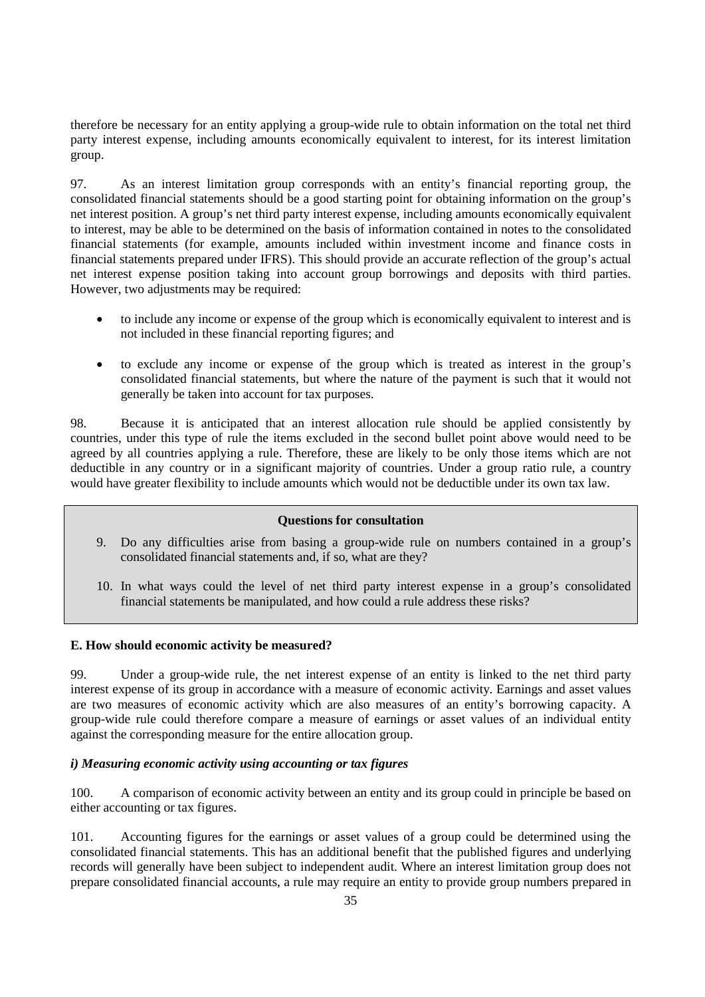therefore be necessary for an entity applying a group-wide rule to obtain information on the total net third party interest expense, including amounts economically equivalent to interest, for its interest limitation group.

97. As an interest limitation group corresponds with an entity's financial reporting group, the consolidated financial statements should be a good starting point for obtaining information on the group's net interest position. A group's net third party interest expense, including amounts economically equivalent to interest, may be able to be determined on the basis of information contained in notes to the consolidated financial statements (for example, amounts included within investment income and finance costs in financial statements prepared under IFRS). This should provide an accurate reflection of the group's actual net interest expense position taking into account group borrowings and deposits with third parties. However, two adjustments may be required:

- to include any income or expense of the group which is economically equivalent to interest and is not included in these financial reporting figures; and
- to exclude any income or expense of the group which is treated as interest in the group's consolidated financial statements, but where the nature of the payment is such that it would not generally be taken into account for tax purposes.

98. Because it is anticipated that an interest allocation rule should be applied consistently by countries, under this type of rule the items excluded in the second bullet point above would need to be agreed by all countries applying a rule. Therefore, these are likely to be only those items which are not deductible in any country or in a significant majority of countries. Under a group ratio rule, a country would have greater flexibility to include amounts which would not be deductible under its own tax law.

#### **Questions for consultation**

- 9. Do any difficulties arise from basing a group-wide rule on numbers contained in a group's consolidated financial statements and, if so, what are they?
- 10. In what ways could the level of net third party interest expense in a group's consolidated financial statements be manipulated, and how could a rule address these risks?

## **E. How should economic activity be measured?**

99. Under a group-wide rule, the net interest expense of an entity is linked to the net third party interest expense of its group in accordance with a measure of economic activity. Earnings and asset values are two measures of economic activity which are also measures of an entity's borrowing capacity. A group-wide rule could therefore compare a measure of earnings or asset values of an individual entity against the corresponding measure for the entire allocation group.

#### *i) Measuring economic activity using accounting or tax figures*

100. A comparison of economic activity between an entity and its group could in principle be based on either accounting or tax figures.

101. Accounting figures for the earnings or asset values of a group could be determined using the consolidated financial statements. This has an additional benefit that the published figures and underlying records will generally have been subject to independent audit. Where an interest limitation group does not prepare consolidated financial accounts, a rule may require an entity to provide group numbers prepared in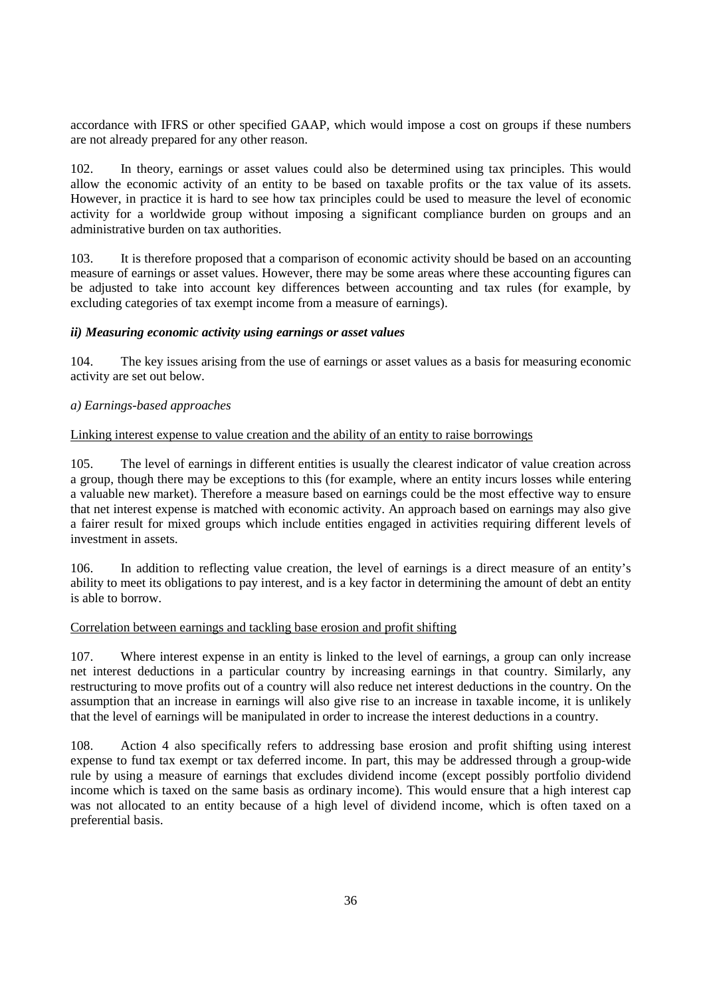accordance with IFRS or other specified GAAP, which would impose a cost on groups if these numbers are not already prepared for any other reason.

102. In theory, earnings or asset values could also be determined using tax principles. This would allow the economic activity of an entity to be based on taxable profits or the tax value of its assets. However, in practice it is hard to see how tax principles could be used to measure the level of economic activity for a worldwide group without imposing a significant compliance burden on groups and an administrative burden on tax authorities.

103. It is therefore proposed that a comparison of economic activity should be based on an accounting measure of earnings or asset values. However, there may be some areas where these accounting figures can be adjusted to take into account key differences between accounting and tax rules (for example, by excluding categories of tax exempt income from a measure of earnings).

## *ii) Measuring economic activity using earnings or asset values*

104. The key issues arising from the use of earnings or asset values as a basis for measuring economic activity are set out below.

## *a) Earnings-based approaches*

## Linking interest expense to value creation and the ability of an entity to raise borrowings

105. The level of earnings in different entities is usually the clearest indicator of value creation across a group, though there may be exceptions to this (for example, where an entity incurs losses while entering a valuable new market). Therefore a measure based on earnings could be the most effective way to ensure that net interest expense is matched with economic activity. An approach based on earnings may also give a fairer result for mixed groups which include entities engaged in activities requiring different levels of investment in assets.

106. In addition to reflecting value creation, the level of earnings is a direct measure of an entity's ability to meet its obligations to pay interest, and is a key factor in determining the amount of debt an entity is able to borrow.

#### Correlation between earnings and tackling base erosion and profit shifting

107. Where interest expense in an entity is linked to the level of earnings, a group can only increase net interest deductions in a particular country by increasing earnings in that country. Similarly, any restructuring to move profits out of a country will also reduce net interest deductions in the country. On the assumption that an increase in earnings will also give rise to an increase in taxable income, it is unlikely that the level of earnings will be manipulated in order to increase the interest deductions in a country.

108. Action 4 also specifically refers to addressing base erosion and profit shifting using interest expense to fund tax exempt or tax deferred income. In part, this may be addressed through a group-wide rule by using a measure of earnings that excludes dividend income (except possibly portfolio dividend income which is taxed on the same basis as ordinary income). This would ensure that a high interest cap was not allocated to an entity because of a high level of dividend income, which is often taxed on a preferential basis.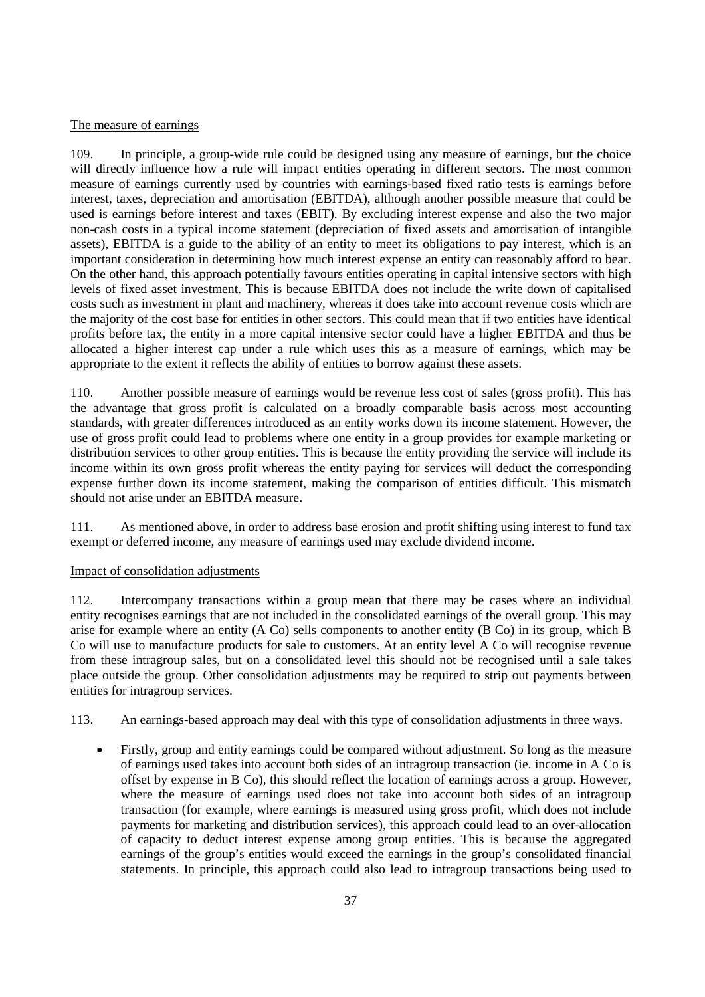### The measure of earnings

109. In principle, a group-wide rule could be designed using any measure of earnings, but the choice will directly influence how a rule will impact entities operating in different sectors. The most common measure of earnings currently used by countries with earnings-based fixed ratio tests is earnings before interest, taxes, depreciation and amortisation (EBITDA), although another possible measure that could be used is earnings before interest and taxes (EBIT). By excluding interest expense and also the two major non-cash costs in a typical income statement (depreciation of fixed assets and amortisation of intangible assets), EBITDA is a guide to the ability of an entity to meet its obligations to pay interest, which is an important consideration in determining how much interest expense an entity can reasonably afford to bear. On the other hand, this approach potentially favours entities operating in capital intensive sectors with high levels of fixed asset investment. This is because EBITDA does not include the write down of capitalised costs such as investment in plant and machinery, whereas it does take into account revenue costs which are the majority of the cost base for entities in other sectors. This could mean that if two entities have identical profits before tax, the entity in a more capital intensive sector could have a higher EBITDA and thus be allocated a higher interest cap under a rule which uses this as a measure of earnings, which may be appropriate to the extent it reflects the ability of entities to borrow against these assets.

110. Another possible measure of earnings would be revenue less cost of sales (gross profit). This has the advantage that gross profit is calculated on a broadly comparable basis across most accounting standards, with greater differences introduced as an entity works down its income statement. However, the use of gross profit could lead to problems where one entity in a group provides for example marketing or distribution services to other group entities. This is because the entity providing the service will include its income within its own gross profit whereas the entity paying for services will deduct the corresponding expense further down its income statement, making the comparison of entities difficult. This mismatch should not arise under an EBITDA measure.

111. As mentioned above, in order to address base erosion and profit shifting using interest to fund tax exempt or deferred income, any measure of earnings used may exclude dividend income.

#### Impact of consolidation adjustments

112. Intercompany transactions within a group mean that there may be cases where an individual entity recognises earnings that are not included in the consolidated earnings of the overall group. This may arise for example where an entity (A Co) sells components to another entity (B Co) in its group, which B Co will use to manufacture products for sale to customers. At an entity level A Co will recognise revenue from these intragroup sales, but on a consolidated level this should not be recognised until a sale takes place outside the group. Other consolidation adjustments may be required to strip out payments between entities for intragroup services.

113. An earnings-based approach may deal with this type of consolidation adjustments in three ways.

• Firstly, group and entity earnings could be compared without adjustment. So long as the measure of earnings used takes into account both sides of an intragroup transaction (ie. income in A Co is offset by expense in B Co), this should reflect the location of earnings across a group. However, where the measure of earnings used does not take into account both sides of an intragroup transaction (for example, where earnings is measured using gross profit, which does not include payments for marketing and distribution services), this approach could lead to an over-allocation of capacity to deduct interest expense among group entities. This is because the aggregated earnings of the group's entities would exceed the earnings in the group's consolidated financial statements. In principle, this approach could also lead to intragroup transactions being used to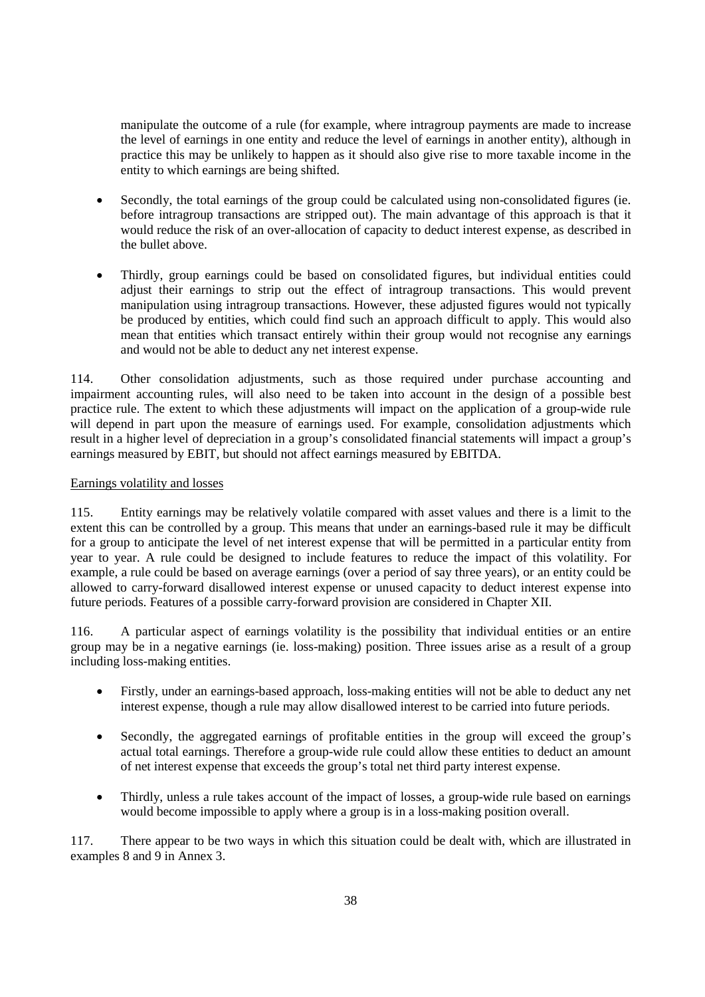manipulate the outcome of a rule (for example, where intragroup payments are made to increase the level of earnings in one entity and reduce the level of earnings in another entity), although in practice this may be unlikely to happen as it should also give rise to more taxable income in the entity to which earnings are being shifted.

- Secondly, the total earnings of the group could be calculated using non-consolidated figures (ie. before intragroup transactions are stripped out). The main advantage of this approach is that it would reduce the risk of an over-allocation of capacity to deduct interest expense, as described in the bullet above.
- Thirdly, group earnings could be based on consolidated figures, but individual entities could adjust their earnings to strip out the effect of intragroup transactions. This would prevent manipulation using intragroup transactions. However, these adjusted figures would not typically be produced by entities, which could find such an approach difficult to apply. This would also mean that entities which transact entirely within their group would not recognise any earnings and would not be able to deduct any net interest expense.

114. Other consolidation adjustments, such as those required under purchase accounting and impairment accounting rules, will also need to be taken into account in the design of a possible best practice rule. The extent to which these adjustments will impact on the application of a group-wide rule will depend in part upon the measure of earnings used. For example, consolidation adjustments which result in a higher level of depreciation in a group's consolidated financial statements will impact a group's earnings measured by EBIT, but should not affect earnings measured by EBITDA.

### Earnings volatility and losses

115. Entity earnings may be relatively volatile compared with asset values and there is a limit to the extent this can be controlled by a group. This means that under an earnings-based rule it may be difficult for a group to anticipate the level of net interest expense that will be permitted in a particular entity from year to year. A rule could be designed to include features to reduce the impact of this volatility. For example, a rule could be based on average earnings (over a period of say three years), or an entity could be allowed to carry-forward disallowed interest expense or unused capacity to deduct interest expense into future periods. Features of a possible carry-forward provision are considered in Chapter XII.

116. A particular aspect of earnings volatility is the possibility that individual entities or an entire group may be in a negative earnings (ie. loss-making) position. Three issues arise as a result of a group including loss-making entities.

- Firstly, under an earnings-based approach, loss-making entities will not be able to deduct any net interest expense, though a rule may allow disallowed interest to be carried into future periods.
- Secondly, the aggregated earnings of profitable entities in the group will exceed the group's actual total earnings. Therefore a group-wide rule could allow these entities to deduct an amount of net interest expense that exceeds the group's total net third party interest expense.
- Thirdly, unless a rule takes account of the impact of losses, a group-wide rule based on earnings would become impossible to apply where a group is in a loss-making position overall.

117. There appear to be two ways in which this situation could be dealt with, which are illustrated in examples 8 and 9 in Annex 3.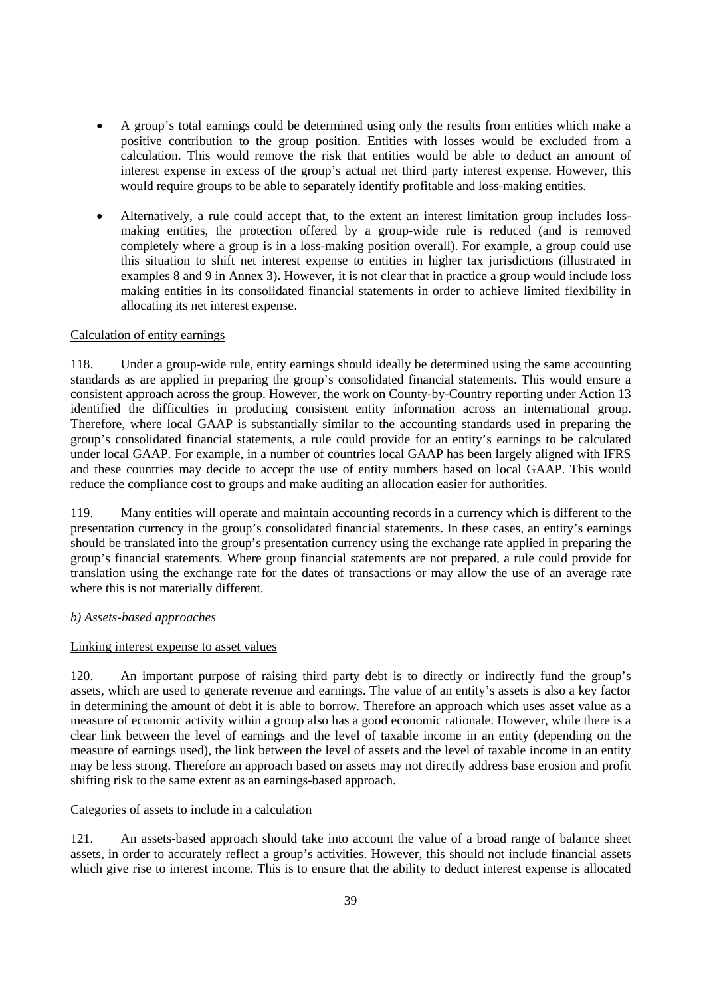- A group's total earnings could be determined using only the results from entities which make a positive contribution to the group position. Entities with losses would be excluded from a calculation. This would remove the risk that entities would be able to deduct an amount of interest expense in excess of the group's actual net third party interest expense. However, this would require groups to be able to separately identify profitable and loss-making entities.
- Alternatively, a rule could accept that, to the extent an interest limitation group includes lossmaking entities, the protection offered by a group-wide rule is reduced (and is removed completely where a group is in a loss-making position overall). For example, a group could use this situation to shift net interest expense to entities in higher tax jurisdictions (illustrated in examples 8 and 9 in Annex 3). However, it is not clear that in practice a group would include loss making entities in its consolidated financial statements in order to achieve limited flexibility in allocating its net interest expense.

# Calculation of entity earnings

118. Under a group-wide rule, entity earnings should ideally be determined using the same accounting standards as are applied in preparing the group's consolidated financial statements. This would ensure a consistent approach across the group. However, the work on County-by-Country reporting under Action 13 identified the difficulties in producing consistent entity information across an international group. Therefore, where local GAAP is substantially similar to the accounting standards used in preparing the group's consolidated financial statements, a rule could provide for an entity's earnings to be calculated under local GAAP. For example, in a number of countries local GAAP has been largely aligned with IFRS and these countries may decide to accept the use of entity numbers based on local GAAP. This would reduce the compliance cost to groups and make auditing an allocation easier for authorities.

119. Many entities will operate and maintain accounting records in a currency which is different to the presentation currency in the group's consolidated financial statements. In these cases, an entity's earnings should be translated into the group's presentation currency using the exchange rate applied in preparing the group's financial statements. Where group financial statements are not prepared, a rule could provide for translation using the exchange rate for the dates of transactions or may allow the use of an average rate where this is not materially different.

# *b) Assets-based approaches*

# Linking interest expense to asset values

120. An important purpose of raising third party debt is to directly or indirectly fund the group's assets, which are used to generate revenue and earnings. The value of an entity's assets is also a key factor in determining the amount of debt it is able to borrow. Therefore an approach which uses asset value as a measure of economic activity within a group also has a good economic rationale. However, while there is a clear link between the level of earnings and the level of taxable income in an entity (depending on the measure of earnings used), the link between the level of assets and the level of taxable income in an entity may be less strong. Therefore an approach based on assets may not directly address base erosion and profit shifting risk to the same extent as an earnings-based approach.

# Categories of assets to include in a calculation

121. An assets-based approach should take into account the value of a broad range of balance sheet assets, in order to accurately reflect a group's activities. However, this should not include financial assets which give rise to interest income. This is to ensure that the ability to deduct interest expense is allocated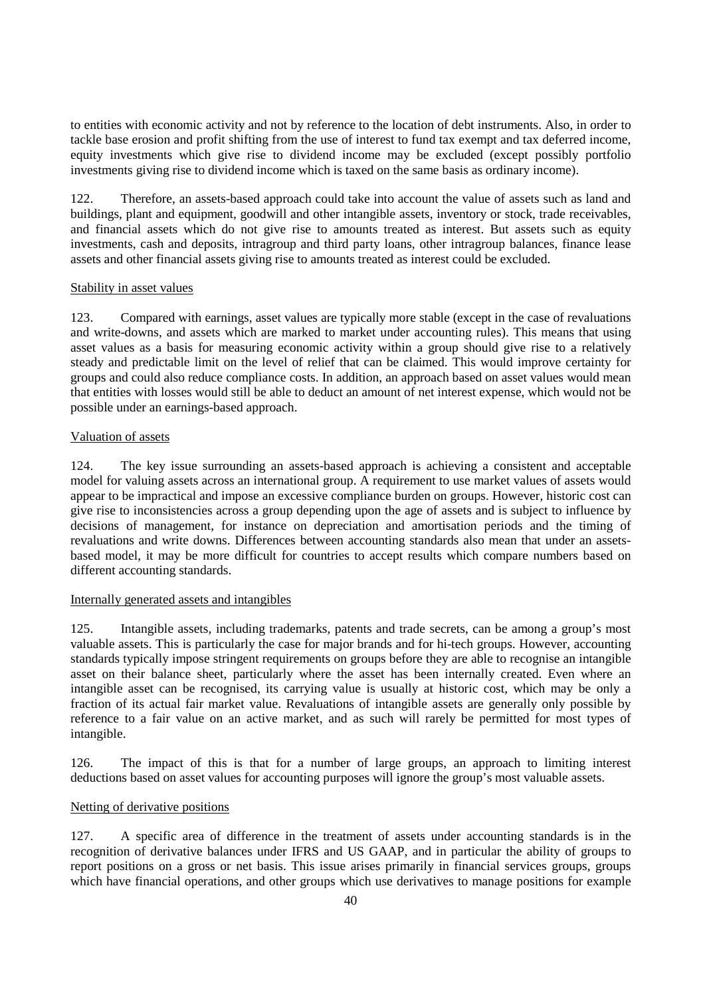to entities with economic activity and not by reference to the location of debt instruments. Also, in order to tackle base erosion and profit shifting from the use of interest to fund tax exempt and tax deferred income, equity investments which give rise to dividend income may be excluded (except possibly portfolio investments giving rise to dividend income which is taxed on the same basis as ordinary income).

122. Therefore, an assets-based approach could take into account the value of assets such as land and buildings, plant and equipment, goodwill and other intangible assets, inventory or stock, trade receivables, and financial assets which do not give rise to amounts treated as interest. But assets such as equity investments, cash and deposits, intragroup and third party loans, other intragroup balances, finance lease assets and other financial assets giving rise to amounts treated as interest could be excluded.

### Stability in asset values

123. Compared with earnings, asset values are typically more stable (except in the case of revaluations and write-downs, and assets which are marked to market under accounting rules). This means that using asset values as a basis for measuring economic activity within a group should give rise to a relatively steady and predictable limit on the level of relief that can be claimed. This would improve certainty for groups and could also reduce compliance costs. In addition, an approach based on asset values would mean that entities with losses would still be able to deduct an amount of net interest expense, which would not be possible under an earnings-based approach.

### Valuation of assets

124. The key issue surrounding an assets-based approach is achieving a consistent and acceptable model for valuing assets across an international group. A requirement to use market values of assets would appear to be impractical and impose an excessive compliance burden on groups. However, historic cost can give rise to inconsistencies across a group depending upon the age of assets and is subject to influence by decisions of management, for instance on depreciation and amortisation periods and the timing of revaluations and write downs. Differences between accounting standards also mean that under an assetsbased model, it may be more difficult for countries to accept results which compare numbers based on different accounting standards.

# Internally generated assets and intangibles

125. Intangible assets, including trademarks, patents and trade secrets, can be among a group's most valuable assets. This is particularly the case for major brands and for hi-tech groups. However, accounting standards typically impose stringent requirements on groups before they are able to recognise an intangible asset on their balance sheet, particularly where the asset has been internally created. Even where an intangible asset can be recognised, its carrying value is usually at historic cost, which may be only a fraction of its actual fair market value. Revaluations of intangible assets are generally only possible by reference to a fair value on an active market, and as such will rarely be permitted for most types of intangible.

126. The impact of this is that for a number of large groups, an approach to limiting interest deductions based on asset values for accounting purposes will ignore the group's most valuable assets.

# Netting of derivative positions

127. A specific area of difference in the treatment of assets under accounting standards is in the recognition of derivative balances under IFRS and US GAAP, and in particular the ability of groups to report positions on a gross or net basis. This issue arises primarily in financial services groups, groups which have financial operations, and other groups which use derivatives to manage positions for example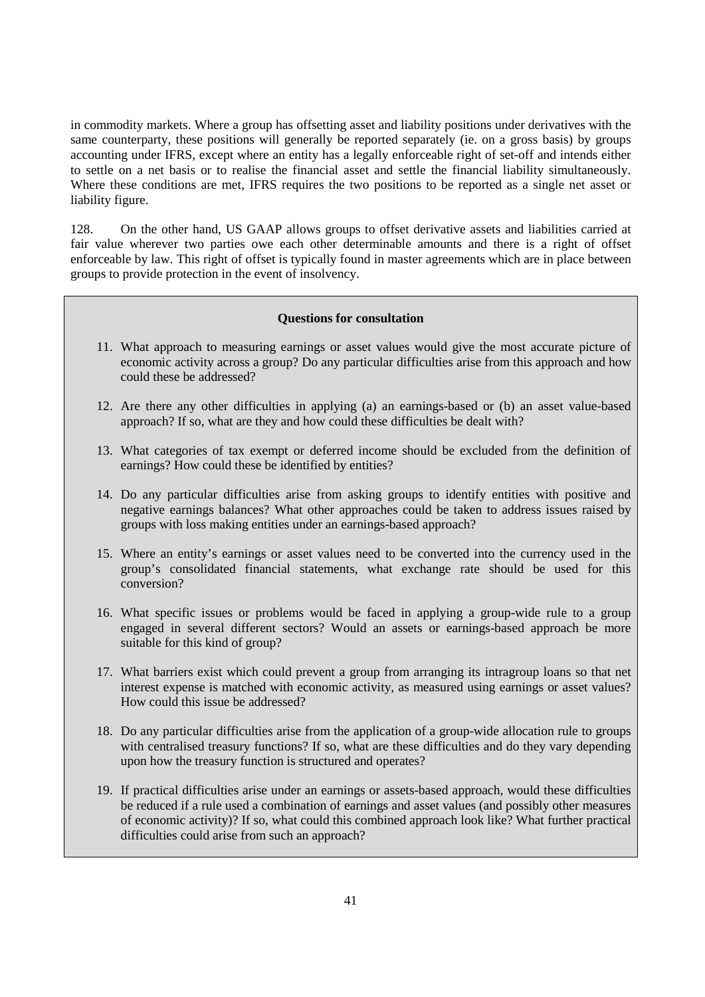in commodity markets. Where a group has offsetting asset and liability positions under derivatives with the same counterparty, these positions will generally be reported separately (ie. on a gross basis) by groups accounting under IFRS, except where an entity has a legally enforceable right of set-off and intends either to settle on a net basis or to realise the financial asset and settle the financial liability simultaneously. Where these conditions are met, IFRS requires the two positions to be reported as a single net asset or liability figure.

128. On the other hand, US GAAP allows groups to offset derivative assets and liabilities carried at fair value wherever two parties owe each other determinable amounts and there is a right of offset enforceable by law. This right of offset is typically found in master agreements which are in place between groups to provide protection in the event of insolvency.

### **Questions for consultation**

- 11. What approach to measuring earnings or asset values would give the most accurate picture of economic activity across a group? Do any particular difficulties arise from this approach and how could these be addressed?
- 12. Are there any other difficulties in applying (a) an earnings-based or (b) an asset value-based approach? If so, what are they and how could these difficulties be dealt with?
- 13. What categories of tax exempt or deferred income should be excluded from the definition of earnings? How could these be identified by entities?
- 14. Do any particular difficulties arise from asking groups to identify entities with positive and negative earnings balances? What other approaches could be taken to address issues raised by groups with loss making entities under an earnings-based approach?
- 15. Where an entity's earnings or asset values need to be converted into the currency used in the group's consolidated financial statements, what exchange rate should be used for this conversion?
- 16. What specific issues or problems would be faced in applying a group-wide rule to a group engaged in several different sectors? Would an assets or earnings-based approach be more suitable for this kind of group?
- 17. What barriers exist which could prevent a group from arranging its intragroup loans so that net interest expense is matched with economic activity, as measured using earnings or asset values? How could this issue be addressed?
- 18. Do any particular difficulties arise from the application of a group-wide allocation rule to groups with centralised treasury functions? If so, what are these difficulties and do they vary depending upon how the treasury function is structured and operates?
- 19. If practical difficulties arise under an earnings or assets-based approach, would these difficulties be reduced if a rule used a combination of earnings and asset values (and possibly other measures of economic activity)? If so, what could this combined approach look like? What further practical difficulties could arise from such an approach?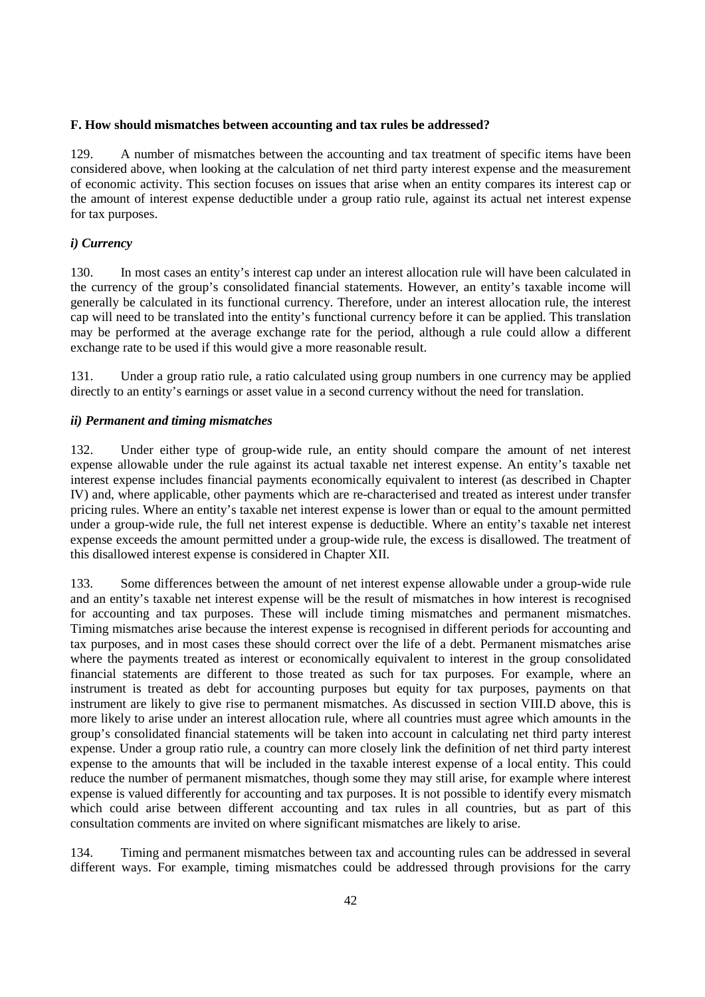#### **F. How should mismatches between accounting and tax rules be addressed?**

129. A number of mismatches between the accounting and tax treatment of specific items have been considered above, when looking at the calculation of net third party interest expense and the measurement of economic activity. This section focuses on issues that arise when an entity compares its interest cap or the amount of interest expense deductible under a group ratio rule, against its actual net interest expense for tax purposes.

# *i) Currency*

130. In most cases an entity's interest cap under an interest allocation rule will have been calculated in the currency of the group's consolidated financial statements. However, an entity's taxable income will generally be calculated in its functional currency. Therefore, under an interest allocation rule, the interest cap will need to be translated into the entity's functional currency before it can be applied. This translation may be performed at the average exchange rate for the period, although a rule could allow a different exchange rate to be used if this would give a more reasonable result.

131. Under a group ratio rule, a ratio calculated using group numbers in one currency may be applied directly to an entity's earnings or asset value in a second currency without the need for translation.

### *ii) Permanent and timing mismatches*

132. Under either type of group-wide rule, an entity should compare the amount of net interest expense allowable under the rule against its actual taxable net interest expense. An entity's taxable net interest expense includes financial payments economically equivalent to interest (as described in Chapter IV) and, where applicable, other payments which are re-characterised and treated as interest under transfer pricing rules. Where an entity's taxable net interest expense is lower than or equal to the amount permitted under a group-wide rule, the full net interest expense is deductible. Where an entity's taxable net interest expense exceeds the amount permitted under a group-wide rule, the excess is disallowed. The treatment of this disallowed interest expense is considered in Chapter XII.

133. Some differences between the amount of net interest expense allowable under a group-wide rule and an entity's taxable net interest expense will be the result of mismatches in how interest is recognised for accounting and tax purposes. These will include timing mismatches and permanent mismatches. Timing mismatches arise because the interest expense is recognised in different periods for accounting and tax purposes, and in most cases these should correct over the life of a debt. Permanent mismatches arise where the payments treated as interest or economically equivalent to interest in the group consolidated financial statements are different to those treated as such for tax purposes. For example, where an instrument is treated as debt for accounting purposes but equity for tax purposes, payments on that instrument are likely to give rise to permanent mismatches. As discussed in section VIII.D above, this is more likely to arise under an interest allocation rule, where all countries must agree which amounts in the group's consolidated financial statements will be taken into account in calculating net third party interest expense. Under a group ratio rule, a country can more closely link the definition of net third party interest expense to the amounts that will be included in the taxable interest expense of a local entity. This could reduce the number of permanent mismatches, though some they may still arise, for example where interest expense is valued differently for accounting and tax purposes. It is not possible to identify every mismatch which could arise between different accounting and tax rules in all countries, but as part of this consultation comments are invited on where significant mismatches are likely to arise.

134. Timing and permanent mismatches between tax and accounting rules can be addressed in several different ways. For example, timing mismatches could be addressed through provisions for the carry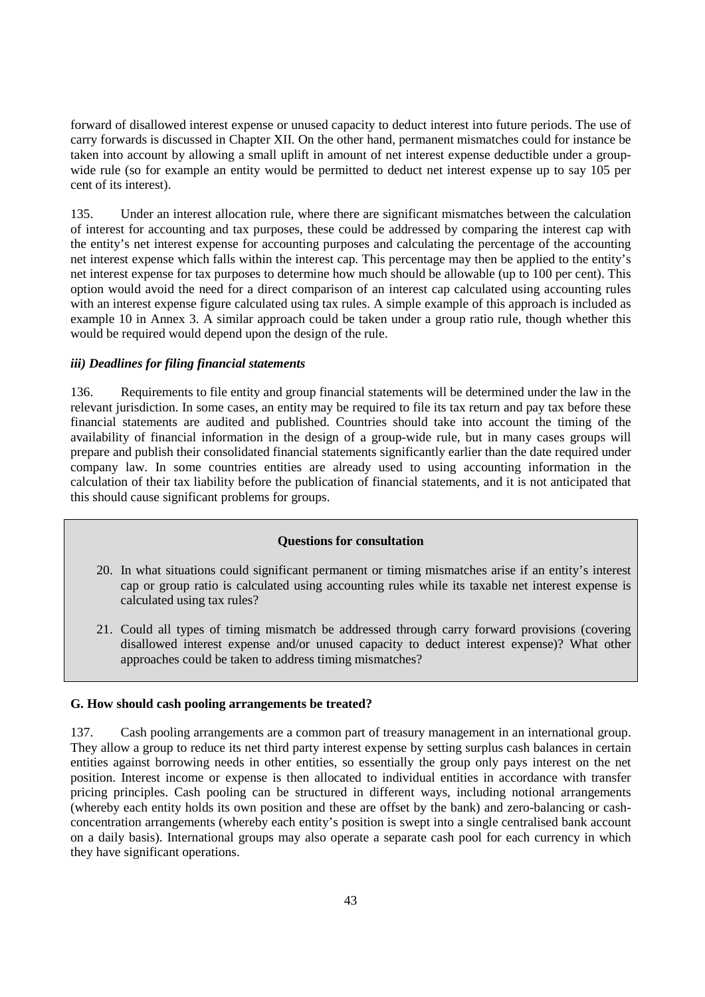forward of disallowed interest expense or unused capacity to deduct interest into future periods. The use of carry forwards is discussed in Chapter XII. On the other hand, permanent mismatches could for instance be taken into account by allowing a small uplift in amount of net interest expense deductible under a groupwide rule (so for example an entity would be permitted to deduct net interest expense up to say 105 per cent of its interest).

135. Under an interest allocation rule, where there are significant mismatches between the calculation of interest for accounting and tax purposes, these could be addressed by comparing the interest cap with the entity's net interest expense for accounting purposes and calculating the percentage of the accounting net interest expense which falls within the interest cap. This percentage may then be applied to the entity's net interest expense for tax purposes to determine how much should be allowable (up to 100 per cent). This option would avoid the need for a direct comparison of an interest cap calculated using accounting rules with an interest expense figure calculated using tax rules. A simple example of this approach is included as example 10 in Annex 3. A similar approach could be taken under a group ratio rule, though whether this would be required would depend upon the design of the rule.

### *iii) Deadlines for filing financial statements*

136. Requirements to file entity and group financial statements will be determined under the law in the relevant jurisdiction. In some cases, an entity may be required to file its tax return and pay tax before these financial statements are audited and published. Countries should take into account the timing of the availability of financial information in the design of a group-wide rule, but in many cases groups will prepare and publish their consolidated financial statements significantly earlier than the date required under company law. In some countries entities are already used to using accounting information in the calculation of their tax liability before the publication of financial statements, and it is not anticipated that this should cause significant problems for groups.

#### **Questions for consultation**

- 20. In what situations could significant permanent or timing mismatches arise if an entity's interest cap or group ratio is calculated using accounting rules while its taxable net interest expense is calculated using tax rules?
- 21. Could all types of timing mismatch be addressed through carry forward provisions (covering disallowed interest expense and/or unused capacity to deduct interest expense)? What other approaches could be taken to address timing mismatches?

#### **G. How should cash pooling arrangements be treated?**

137. Cash pooling arrangements are a common part of treasury management in an international group. They allow a group to reduce its net third party interest expense by setting surplus cash balances in certain entities against borrowing needs in other entities, so essentially the group only pays interest on the net position. Interest income or expense is then allocated to individual entities in accordance with transfer pricing principles. Cash pooling can be structured in different ways, including notional arrangements (whereby each entity holds its own position and these are offset by the bank) and zero-balancing or cashconcentration arrangements (whereby each entity's position is swept into a single centralised bank account on a daily basis). International groups may also operate a separate cash pool for each currency in which they have significant operations.